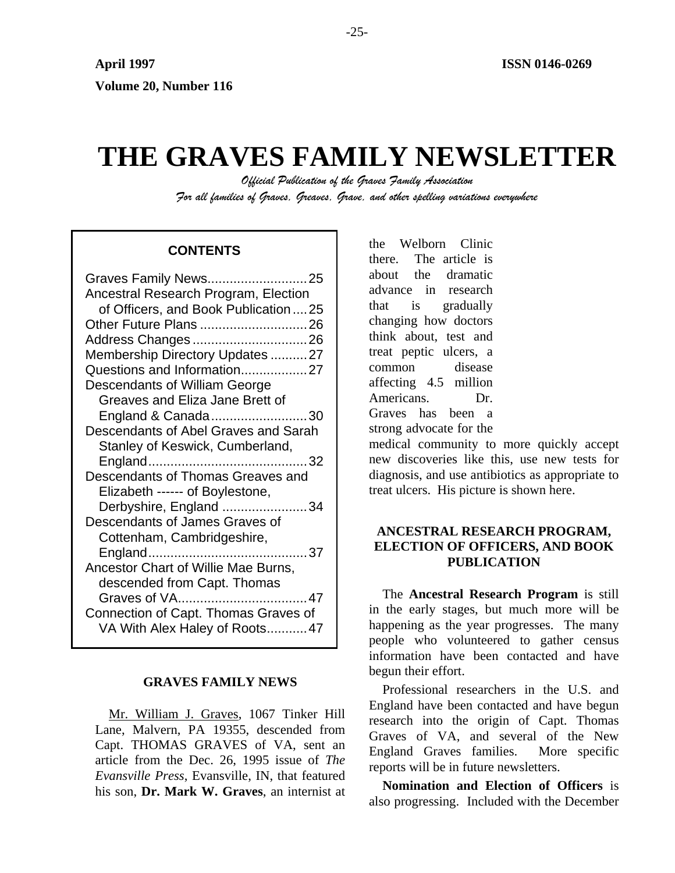# **THE GRAVES FAMILY NEWSLETTER**

*Official Publication of the Graves Family Association For all families of Graves, Greaves, Grave, and other spelling variations everywhere* 

# **CONTENTS**

| Graves Family News25                                                  |  |
|-----------------------------------------------------------------------|--|
| Ancestral Research Program, Election                                  |  |
| of Officers, and Book Publication  25                                 |  |
| Other Future Plans 26                                                 |  |
|                                                                       |  |
| Membership Directory Updates 27                                       |  |
| Questions and Information27                                           |  |
| Descendants of William George                                         |  |
| Greaves and Eliza Jane Brett of                                       |  |
| England & Canada30                                                    |  |
| Descendants of Abel Graves and Sarah                                  |  |
| Stanley of Keswick, Cumberland,                                       |  |
|                                                                       |  |
| Descendants of Thomas Greaves and                                     |  |
| Elizabeth ------ of Boylestone,                                       |  |
|                                                                       |  |
|                                                                       |  |
| Derbyshire, England 34<br>Descendants of James Graves of              |  |
|                                                                       |  |
| Cottenham, Cambridgeshire,                                            |  |
|                                                                       |  |
| Ancestor Chart of Willie Mae Burns,                                   |  |
| descended from Capt. Thomas                                           |  |
|                                                                       |  |
| Connection of Capt. Thomas Graves of<br>VA With Alex Haley of Roots47 |  |

#### **GRAVES FAMILY NEWS**

Mr. William J. Graves, 1067 Tinker Hill Lane, Malvern, PA 19355, descended from Capt. THOMAS GRAVES of VA, sent an article from the Dec. 26, 1995 issue of *The Evansville Press*, Evansville, IN, that featured his son, **Dr. Mark W. Graves**, an internist at the Welborn Clinic there. The article is about the dramatic advance in research that is gradually changing how doctors think about, test and treat peptic ulcers, a common disease affecting 4.5 million Americans. Dr. Graves has been a strong advocate for the

medical community to more quickly accept new discoveries like this, use new tests for diagnosis, and use antibiotics as appropriate to treat ulcers. His picture is shown here.

# **ANCESTRAL RESEARCH PROGRAM, ELECTION OF OFFICERS, AND BOOK PUBLICATION**

The **Ancestral Research Program** is still in the early stages, but much more will be happening as the year progresses. The many people who volunteered to gather census information have been contacted and have begun their effort.

Professional researchers in the U.S. and England have been contacted and have begun research into the origin of Capt. Thomas Graves of VA, and several of the New England Graves families. More specific reports will be in future newsletters.

**Nomination and Election of Officers** is also progressing. Included with the December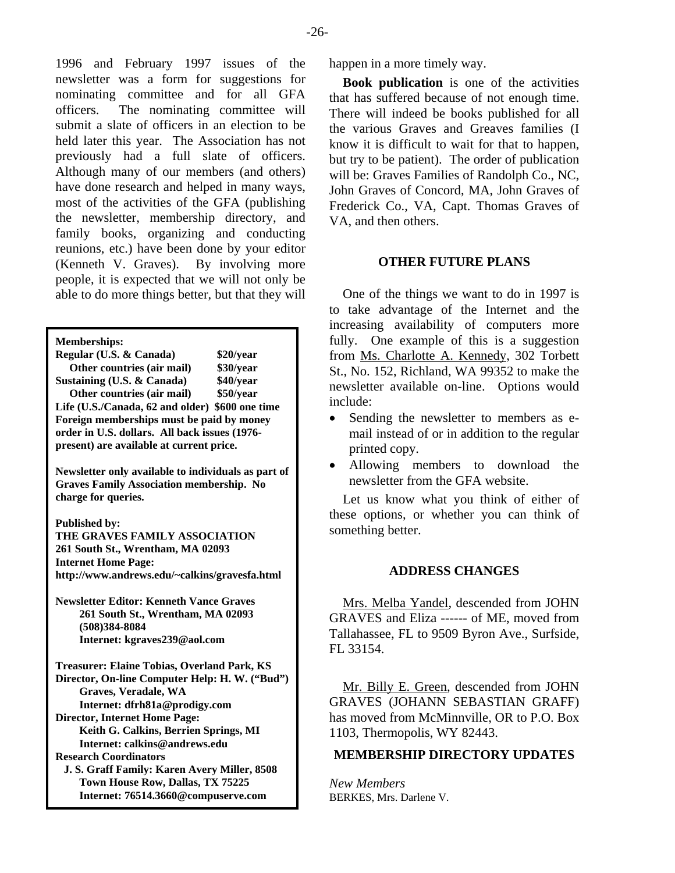1996 and February 1997 issues of the newsletter was a form for suggestions for nominating committee and for all GFA officers. The nominating committee will submit a slate of officers in an election to be held later this year. The Association has not previously had a full slate of officers. Although many of our members (and others) have done research and helped in many ways, most of the activities of the GFA (publishing the newsletter, membership directory, and family books, organizing and conducting reunions, etc.) have been done by your editor (Kenneth V. Graves). By involving more people, it is expected that we will not only be able to do more things better, but that they will

**Memberships:** 

**Regular (U.S. & Canada) \$20/year Other countries (air mail) \$30/year Sustaining (U.S. & Canada) \$40/year Other countries (air mail) \$50/year Life (U.S./Canada, 62 and older) \$600 one time Foreign memberships must be paid by money order in U.S. dollars. All back issues (1976 present) are available at current price.** 

**Newsletter only available to individuals as part of Graves Family Association membership. No charge for queries.** 

**Published by:** 

**THE GRAVES FAMILY ASSOCIATION 261 South St., Wrentham, MA 02093 Internet Home Page:**  http://www.andrews.edu/~calkins/gravesfa.html **ADDRESS CHANGES** 

**Newsletter Editor: Kenneth Vance Graves 261 South St., Wrentham, MA 02093 (508)384-8084 Internet: kgraves239@aol.com** 

**Treasurer: Elaine Tobias, Overland Park, KS Director, On-line Computer Help: H. W. ("Bud") Graves, Veradale, WA Internet: dfrh81a@prodigy.com Director, Internet Home Page: Keith G. Calkins, Berrien Springs, MI Internet: calkins@andrews.edu J. S. Graff Family: Karen Avery Miller, 8508 Town House Row, Dallas, TX 75225** *New Members* 

happen in a more timely way.

**Book publication** is one of the activities that has suffered because of not enough time. There will indeed be books published for all the various Graves and Greaves families (I know it is difficult to wait for that to happen, but try to be patient). The order of publication will be: Graves Families of Randolph Co., NC, John Graves of Concord, MA, John Graves of Frederick Co., VA, Capt. Thomas Graves of VA, and then others.

#### **OTHER FUTURE PLANS**

One of the things we want to do in 1997 is to take advantage of the Internet and the increasing availability of computers more fully. One example of this is a suggestion from Ms. Charlotte A. Kennedy, 302 Torbett St., No. 152, Richland, WA 99352 to make the newsletter available on-line. Options would include:

- Sending the newsletter to members as email instead of or in addition to the regular printed copy.
- Allowing members to download the newsletter from the GFA website.

Let us know what you think of either of these options, or whether you can think of something better.

Mrs. Melba Yandel, descended from JOHN GRAVES and Eliza ------ of ME, moved from Tallahassee, FL to 9509 Byron Ave., Surfside, FL 33154.

Mr. Billy E. Green, descended from JOHN GRAVES (JOHANN SEBASTIAN GRAFF) has moved from McMinnville, OR to P.O. Box 1103, Thermopolis, WY 82443.

# **Research Coordinators MEMBERSHIP DIRECTORY UPDATES**

**Internet: 76514.3660@compuserve.com** BERKES, Mrs. Darlene V.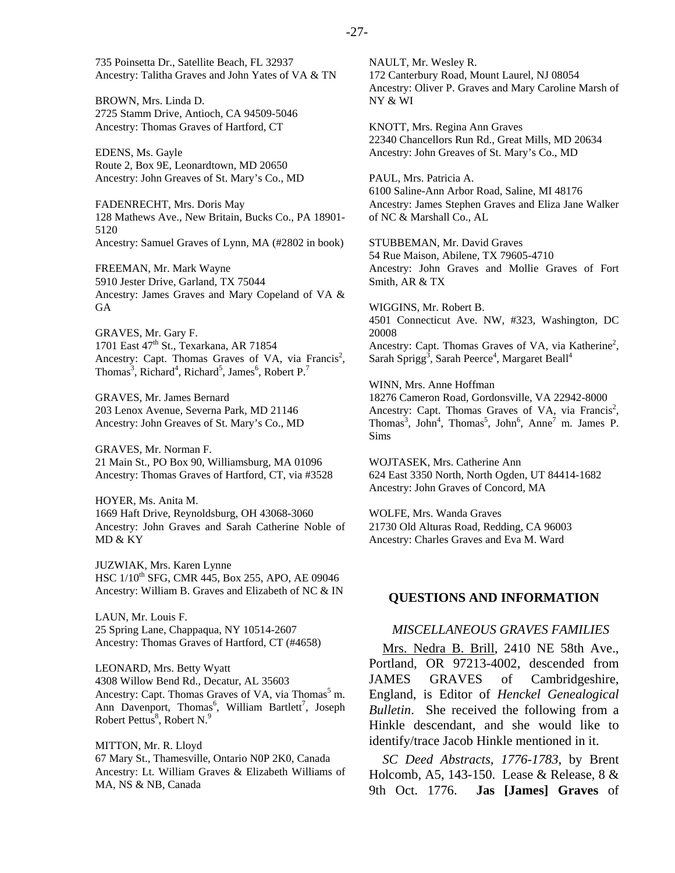BROWN, Mrs. Linda D. 2725 Stamm Drive, Antioch, CA 94509-5046 Ancestry: Thomas Graves of Hartford, CT

EDENS, Ms. Gayle Route 2, Box 9E, Leonardtown, MD 20650 Ancestry: John Greaves of St. Mary's Co., MD

FADENRECHT, Mrs. Doris May 128 Mathews Ave., New Britain, Bucks Co., PA 18901- 5120 Ancestry: Samuel Graves of Lynn, MA (#2802 in book)

FREEMAN, Mr. Mark Wayne 5910 Jester Drive, Garland, TX 75044 Ancestry: James Graves and Mary Copeland of VA & GA

GRAVES, Mr. Gary F. 1701 East 47<sup>th</sup> St., Texarkana, AR 71854 Ancestry: Capt. Thomas Graves of VA, via Francis<sup>2</sup>, Thomas<sup>3</sup>, Richard<sup>4</sup>, Richard<sup>5</sup>, James<sup>6</sup>, Robert P.<sup>7</sup>

GRAVES, Mr. James Bernard 203 Lenox Avenue, Severna Park, MD 21146 Ancestry: John Greaves of St. Mary's Co., MD

GRAVES, Mr. Norman F. 21 Main St., PO Box 90, Williamsburg, MA 01096 Ancestry: Thomas Graves of Hartford, CT, via #3528

HOYER, Ms. Anita M. 1669 Haft Drive, Reynoldsburg, OH 43068-3060 Ancestry: John Graves and Sarah Catherine Noble of MD & KY

JUZWIAK, Mrs. Karen Lynne HSC  $1/10^{th}$  SFG, CMR 445, Box 255, APO, AE 09046 Ancestry: William B. Graves and Elizabeth of NC & IN

LAUN, Mr. Louis F. 25 Spring Lane, Chappaqua, NY 10514-2607 Ancestry: Thomas Graves of Hartford, CT (#4658)

LEONARD, Mrs. Betty Wyatt 4308 Willow Bend Rd., Decatur, AL 35603 Ancestry: Capt. Thomas Graves of VA, via Thomas<sup>5</sup> m. Ann Davenport, Thomas<sup>6</sup>, William Bartlett<sup>7</sup>, Joseph Robert Pettus<sup>8</sup>, Robert N.<sup>9</sup>

MITTON, Mr. R. Lloyd 67 Mary St., Thamesville, Ontario N0P 2K0, Canada Ancestry: Lt. William Graves & Elizabeth Williams of MA, NS & NB, Canada

NAULT, Mr. Wesley R. 172 Canterbury Road, Mount Laurel, NJ 08054 Ancestry: Oliver P. Graves and Mary Caroline Marsh of NY & WI

KNOTT, Mrs. Regina Ann Graves 22340 Chancellors Run Rd., Great Mills, MD 20634 Ancestry: John Greaves of St. Mary's Co., MD

PAUL, Mrs. Patricia A. 6100 Saline-Ann Arbor Road, Saline, MI 48176 Ancestry: James Stephen Graves and Eliza Jane Walker of NC & Marshall Co., AL

STUBBEMAN, Mr. David Graves 54 Rue Maison, Abilene, TX 79605-4710 Ancestry: John Graves and Mollie Graves of Fort Smith, AR & TX

WIGGINS, Mr. Robert B. 4501 Connecticut Ave. NW, #323, Washington, DC 20008 Ancestry: Capt. Thomas Graves of VA, via Katherine<sup>2</sup>, Sarah Sprigg<sup>3</sup>, Sarah Peerce<sup>4</sup>, Margaret Beall<sup>4</sup>

WINN, Mrs. Anne Hoffman 18276 Cameron Road, Gordonsville, VA 22942-8000 Ancestry: Capt. Thomas Graves of VA, via Francis<sup>2</sup>, Thomas<sup>3</sup>, John<sup>4</sup>, Thomas<sup>5</sup>, John<sup>6</sup>, Anne<sup>7</sup> m. James P. Sims

WOJTASEK, Mrs. Catherine Ann 624 East 3350 North, North Ogden, UT 84414-1682 Ancestry: John Graves of Concord, MA

WOLFE, Mrs. Wanda Graves 21730 Old Alturas Road, Redding, CA 96003 Ancestry: Charles Graves and Eva M. Ward

#### **QUESTIONS AND INFORMATION**

#### *MISCELLANEOUS GRAVES FAMILIES*

Mrs. Nedra B. Brill, 2410 NE 58th Ave., Portland, OR 97213-4002, descended from JAMES GRAVES of Cambridgeshire, England, is Editor of *Henckel Genealogical Bulletin*. She received the following from a Hinkle descendant, and she would like to identify/trace Jacob Hinkle mentioned in it.

*SC Deed Abstracts, 1776-1783*, by Brent Holcomb, A5, 143-150. Lease & Release, 8 & 9th Oct. 1776. **Jas [James] Graves** of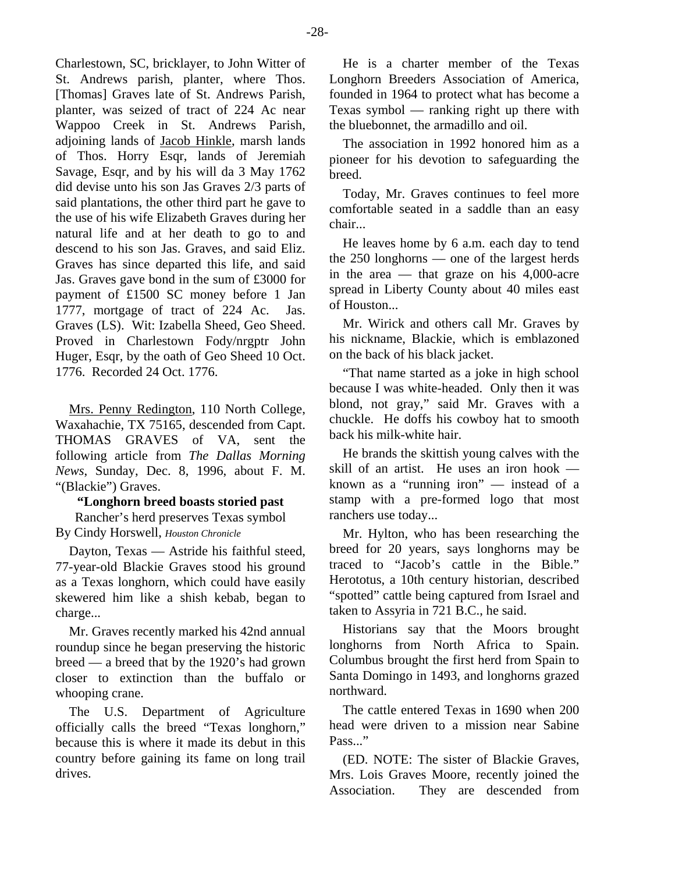Charlestown, SC, bricklayer, to John Witter of St. Andrews parish, planter, where Thos. [Thomas] Graves late of St. Andrews Parish, planter, was seized of tract of 224 Ac near Wappoo Creek in St. Andrews Parish, adjoining lands of Jacob Hinkle, marsh lands of Thos. Horry Esqr, lands of Jeremiah Savage, Esqr, and by his will da 3 May 1762 did devise unto his son Jas Graves 2/3 parts of said plantations, the other third part he gave to the use of his wife Elizabeth Graves during her natural life and at her death to go to and descend to his son Jas. Graves, and said Eliz. Graves has since departed this life, and said Jas. Graves gave bond in the sum of £3000 for payment of £1500 SC money before 1 Jan 1777, mortgage of tract of 224 Ac. Jas. Graves (LS). Wit: Izabella Sheed, Geo Sheed. Proved in Charlestown Fody/nrgptr John Huger, Esqr, by the oath of Geo Sheed 10 Oct. 1776. Recorded 24 Oct. 1776.

Mrs. Penny Redington, 110 North College, Waxahachie, TX 75165, descended from Capt. THOMAS GRAVES of VA, sent the following article from *The Dallas Morning News*, Sunday, Dec. 8, 1996, about F. M. "(Blackie") Graves.

# **"Longhorn breed boasts storied past**

Rancher's herd preserves Texas symbol By Cindy Horswell, *Houston Chronicle*

Dayton, Texas — Astride his faithful steed, 77-year-old Blackie Graves stood his ground as a Texas longhorn, which could have easily skewered him like a shish kebab, began to charge...

Mr. Graves recently marked his 42nd annual roundup since he began preserving the historic breed — a breed that by the 1920's had grown closer to extinction than the buffalo or whooping crane.

The U.S. Department of Agriculture officially calls the breed "Texas longhorn," because this is where it made its debut in this country before gaining its fame on long trail drives.

He is a charter member of the Texas Longhorn Breeders Association of America, founded in 1964 to protect what has become a Texas symbol — ranking right up there with the bluebonnet, the armadillo and oil.

The association in 1992 honored him as a pioneer for his devotion to safeguarding the breed.

Today, Mr. Graves continues to feel more comfortable seated in a saddle than an easy chair...

He leaves home by 6 a.m. each day to tend the 250 longhorns — one of the largest herds in the area — that graze on his  $4,000$ -acre spread in Liberty County about 40 miles east of Houston...

Mr. Wirick and others call Mr. Graves by his nickname, Blackie, which is emblazoned on the back of his black jacket.

"That name started as a joke in high school because I was white-headed. Only then it was blond, not gray," said Mr. Graves with a chuckle. He doffs his cowboy hat to smooth back his milk-white hair.

He brands the skittish young calves with the skill of an artist. He uses an iron hook known as a "running iron" — instead of a stamp with a pre-formed logo that most ranchers use today...

Mr. Hylton, who has been researching the breed for 20 years, says longhorns may be traced to "Jacob's cattle in the Bible." Herototus, a 10th century historian, described "spotted" cattle being captured from Israel and taken to Assyria in 721 B.C., he said.

Historians say that the Moors brought longhorns from North Africa to Spain. Columbus brought the first herd from Spain to Santa Domingo in 1493, and longhorns grazed northward.

The cattle entered Texas in 1690 when 200 head were driven to a mission near Sabine Pass..."

(ED. NOTE: The sister of Blackie Graves, Mrs. Lois Graves Moore, recently joined the Association. They are descended from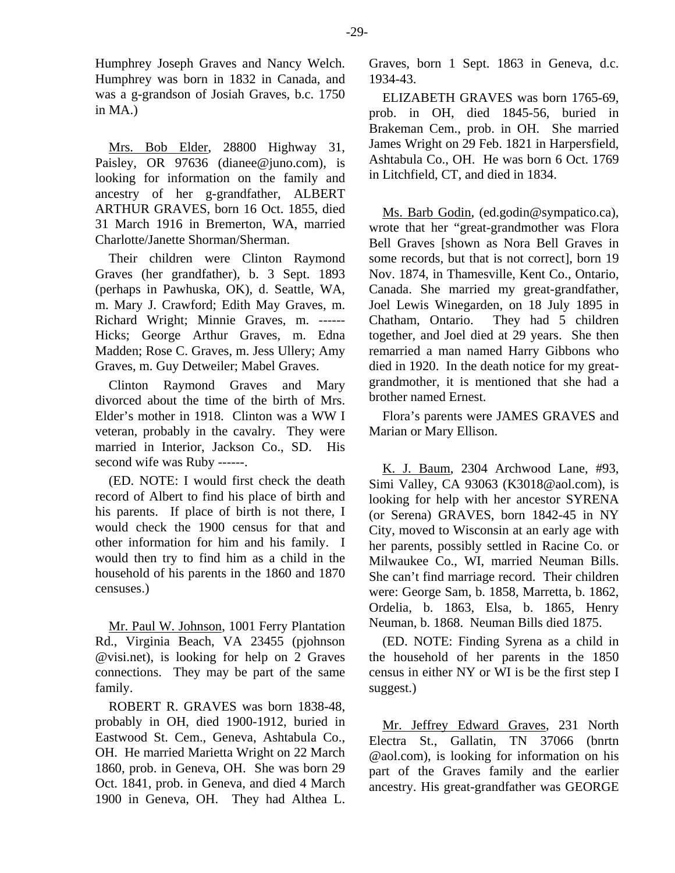Humphrey Joseph Graves and Nancy Welch. Humphrey was born in 1832 in Canada, and was a g-grandson of Josiah Graves, b.c. 1750 in MA.)

Mrs. Bob Elder, 28800 Highway 31, Paisley, OR 97636 (dianee@juno.com), is looking for information on the family and ancestry of her g-grandfather, ALBERT ARTHUR GRAVES, born 16 Oct. 1855, died 31 March 1916 in Bremerton, WA, married Charlotte/Janette Shorman/Sherman.

Their children were Clinton Raymond Graves (her grandfather), b. 3 Sept. 1893 (perhaps in Pawhuska, OK), d. Seattle, WA, m. Mary J. Crawford; Edith May Graves, m. Richard Wright; Minnie Graves, m. ------ Hicks; George Arthur Graves, m. Edna Madden; Rose C. Graves, m. Jess Ullery; Amy Graves, m. Guy Detweiler; Mabel Graves.

Clinton Raymond Graves and Mary divorced about the time of the birth of Mrs. Elder's mother in 1918. Clinton was a WW I veteran, probably in the cavalry. They were married in Interior, Jackson Co., SD. His second wife was Ruby ------.

(ED. NOTE: I would first check the death record of Albert to find his place of birth and his parents. If place of birth is not there, I would check the 1900 census for that and other information for him and his family. I would then try to find him as a child in the household of his parents in the 1860 and 1870 censuses.)

Mr. Paul W. Johnson, 1001 Ferry Plantation Rd., Virginia Beach, VA 23455 (pjohnson @visi.net), is looking for help on 2 Graves connections. They may be part of the same family.

ROBERT R. GRAVES was born 1838-48, probably in OH, died 1900-1912, buried in Eastwood St. Cem., Geneva, Ashtabula Co., OH. He married Marietta Wright on 22 March 1860, prob. in Geneva, OH. She was born 29 Oct. 1841, prob. in Geneva, and died 4 March 1900 in Geneva, OH. They had Althea L.

Graves, born 1 Sept. 1863 in Geneva, d.c. 1934-43.

ELIZABETH GRAVES was born 1765-69, prob. in OH, died 1845-56, buried in Brakeman Cem., prob. in OH. She married James Wright on 29 Feb. 1821 in Harpersfield, Ashtabula Co., OH. He was born 6 Oct. 1769 in Litchfield, CT, and died in 1834.

Ms. Barb Godin, (ed.godin@sympatico.ca), wrote that her "great-grandmother was Flora Bell Graves [shown as Nora Bell Graves in some records, but that is not correct], born 19 Nov. 1874, in Thamesville, Kent Co., Ontario, Canada. She married my great-grandfather, Joel Lewis Winegarden, on 18 July 1895 in Chatham, Ontario. They had 5 children together, and Joel died at 29 years. She then remarried a man named Harry Gibbons who died in 1920. In the death notice for my greatgrandmother, it is mentioned that she had a brother named Ernest.

Flora's parents were JAMES GRAVES and Marian or Mary Ellison.

K. J. Baum, 2304 Archwood Lane, #93, Simi Valley, CA 93063 (K3018@aol.com), is looking for help with her ancestor SYRENA (or Serena) GRAVES, born 1842-45 in NY City, moved to Wisconsin at an early age with her parents, possibly settled in Racine Co. or Milwaukee Co., WI, married Neuman Bills. She can't find marriage record. Their children were: George Sam, b. 1858, Marretta, b. 1862, Ordelia, b. 1863, Elsa, b. 1865, Henry Neuman, b. 1868. Neuman Bills died 1875.

(ED. NOTE: Finding Syrena as a child in the household of her parents in the 1850 census in either NY or WI is be the first step I suggest.)

Mr. Jeffrey Edward Graves, 231 North Electra St., Gallatin, TN 37066 (bnrtn @aol.com), is looking for information on his part of the Graves family and the earlier ancestry. His great-grandfather was GEORGE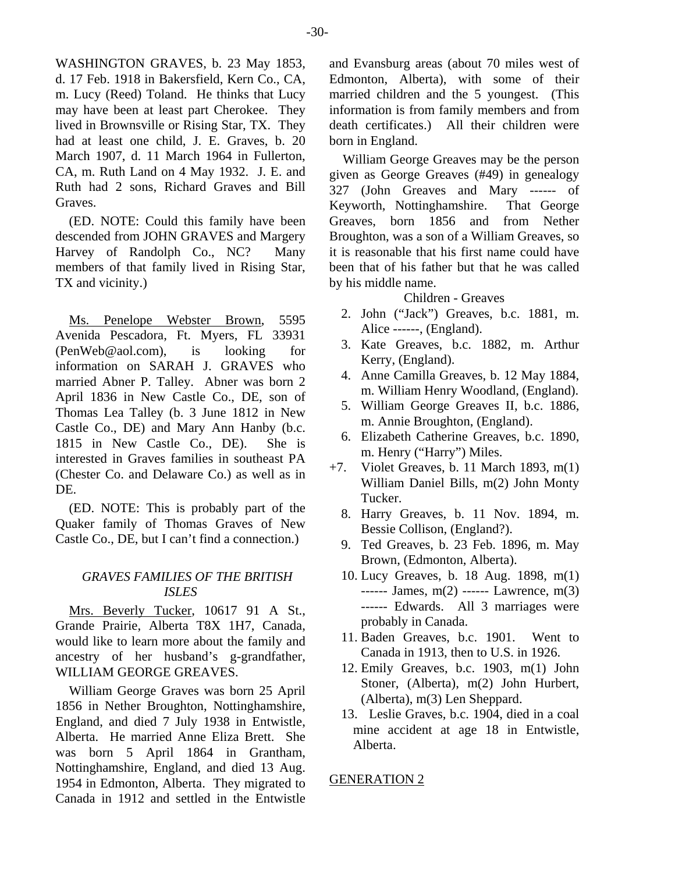WASHINGTON GRAVES, b. 23 May 1853, d. 17 Feb. 1918 in Bakersfield, Kern Co., CA, m. Lucy (Reed) Toland. He thinks that Lucy may have been at least part Cherokee. They lived in Brownsville or Rising Star, TX. They had at least one child, J. E. Graves, b. 20 March 1907, d. 11 March 1964 in Fullerton, CA, m. Ruth Land on 4 May 1932. J. E. and Ruth had 2 sons, Richard Graves and Bill Graves.

(ED. NOTE: Could this family have been descended from JOHN GRAVES and Margery Harvey of Randolph Co., NC? Many members of that family lived in Rising Star, TX and vicinity.)

Ms. Penelope Webster Brown, 5595 Avenida Pescadora, Ft. Myers, FL 33931 (PenWeb@aol.com), is looking for information on SARAH J. GRAVES who married Abner P. Talley. Abner was born 2 April 1836 in New Castle Co., DE, son of Thomas Lea Talley (b. 3 June 1812 in New Castle Co., DE) and Mary Ann Hanby (b.c. 1815 in New Castle Co., DE). She is interested in Graves families in southeast PA (Chester Co. and Delaware Co.) as well as in DE.

(ED. NOTE: This is probably part of the Quaker family of Thomas Graves of New Castle Co., DE, but I can't find a connection.)

#### *GRAVES FAMILIES OF THE BRITISH ISLES*

Mrs. Beverly Tucker, 10617 91 A St., Grande Prairie, Alberta T8X 1H7, Canada, would like to learn more about the family and ancestry of her husband's g-grandfather, WILLIAM GEORGE GREAVES.

William George Graves was born 25 April 1856 in Nether Broughton, Nottinghamshire, England, and died 7 July 1938 in Entwistle, Alberta. He married Anne Eliza Brett. She was born 5 April 1864 in Grantham, Nottinghamshire, England, and died 13 Aug. 1954 in Edmonton, Alberta. They migrated to Canada in 1912 and settled in the Entwistle

and Evansburg areas (about 70 miles west of Edmonton, Alberta), with some of their married children and the 5 youngest. (This information is from family members and from death certificates.) All their children were born in England.

William George Greaves may be the person given as George Greaves (#49) in genealogy 327 (John Greaves and Mary ------ of Keyworth, Nottinghamshire. That George Greaves, born 1856 and from Nether Broughton, was a son of a William Greaves, so it is reasonable that his first name could have been that of his father but that he was called by his middle name.

#### Children - Greaves

- 2. John ("Jack") Greaves, b.c. 1881, m. Alice ------, (England).
- 3. Kate Greaves, b.c. 1882, m. Arthur Kerry, (England).
- 4. Anne Camilla Greaves, b. 12 May 1884, m. William Henry Woodland, (England).
- 5. William George Greaves II, b.c. 1886, m. Annie Broughton, (England).
- 6. Elizabeth Catherine Greaves, b.c. 1890, m. Henry ("Harry") Miles.
- +7. Violet Greaves, b. 11 March 1893, m(1) William Daniel Bills, m(2) John Monty Tucker.
	- 8. Harry Greaves, b. 11 Nov. 1894, m. Bessie Collison, (England?).
	- 9. Ted Greaves, b. 23 Feb. 1896, m. May Brown, (Edmonton, Alberta).
	- 10. Lucy Greaves, b. 18 Aug. 1898, m(1) ------ James, m(2) ------ Lawrence, m(3) ------ Edwards. All 3 marriages were probably in Canada.
	- 11. Baden Greaves, b.c. 1901. Went to Canada in 1913, then to U.S. in 1926.
	- 12. Emily Greaves, b.c. 1903, m(1) John Stoner, (Alberta), m(2) John Hurbert, (Alberta), m(3) Len Sheppard.
	- 13. Leslie Graves, b.c. 1904, died in a coal mine accident at age 18 in Entwistle, Alberta.

#### GENERATION 2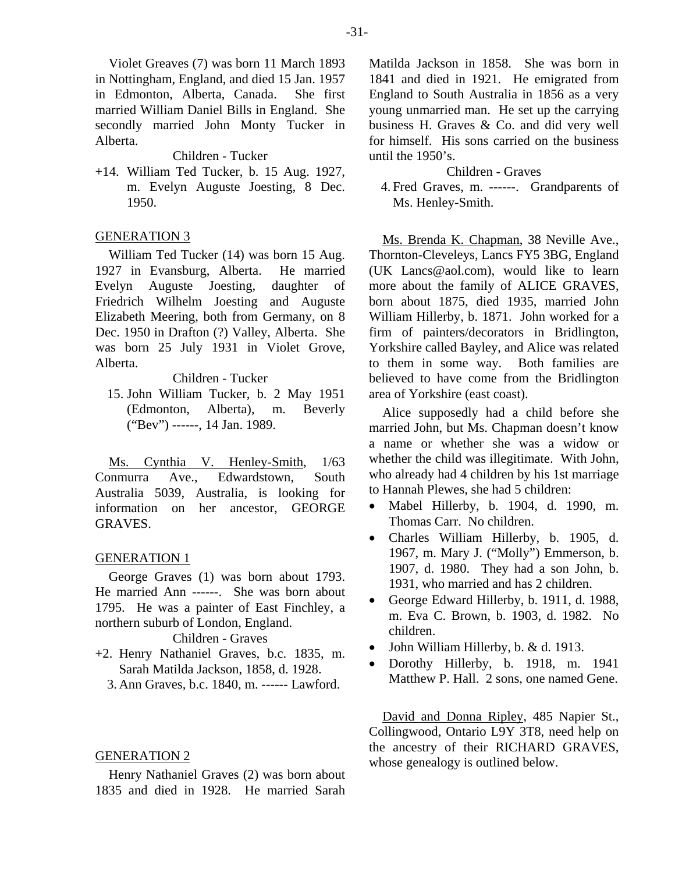Violet Greaves (7) was born 11 March 1893 in Nottingham, England, and died 15 Jan. 1957 in Edmonton, Alberta, Canada. She first married William Daniel Bills in England. She secondly married John Monty Tucker in Alberta.

Children - Tucker

+14. William Ted Tucker, b. 15 Aug. 1927, m. Evelyn Auguste Joesting, 8 Dec. 1950.

#### GENERATION 3

William Ted Tucker (14) was born 15 Aug. 1927 in Evansburg, Alberta. He married Evelyn Auguste Joesting, daughter of Friedrich Wilhelm Joesting and Auguste Elizabeth Meering, both from Germany, on 8 Dec. 1950 in Drafton (?) Valley, Alberta. She was born 25 July 1931 in Violet Grove, Alberta.

# Children - Tucker

 15. John William Tucker, b. 2 May 1951 (Edmonton, Alberta), m. Beverly ("Bev") ------, 14 Jan. 1989.

Ms. Cynthia V. Henley-Smith, 1/63 Conmurra Ave., Edwardstown, South Australia 5039, Australia, is looking for information on her ancestor, GEORGE GRAVES.

#### GENERATION 1

George Graves (1) was born about 1793. He married Ann ------. She was born about 1795. He was a painter of East Finchley, a northern suburb of London, England.

Children - Graves

- +2. Henry Nathaniel Graves, b.c. 1835, m. Sarah Matilda Jackson, 1858, d. 1928.
	- 3. Ann Graves, b.c. 1840, m. ------ Lawford.

#### GENERATION 2

Henry Nathaniel Graves (2) was born about 1835 and died in 1928. He married Sarah Matilda Jackson in 1858. She was born in 1841 and died in 1921. He emigrated from England to South Australia in 1856 as a very young unmarried man. He set up the carrying business H. Graves & Co. and did very well for himself. His sons carried on the business until the 1950's.

#### Children - Graves

 4. Fred Graves, m. ------. Grandparents of Ms. Henley-Smith.

Ms. Brenda K. Chapman, 38 Neville Ave., Thornton-Cleveleys, Lancs FY5 3BG, England (UK Lancs@aol.com), would like to learn more about the family of ALICE GRAVES, born about 1875, died 1935, married John William Hillerby, b. 1871. John worked for a firm of painters/decorators in Bridlington, Yorkshire called Bayley, and Alice was related to them in some way. Both families are believed to have come from the Bridlington area of Yorkshire (east coast).

Alice supposedly had a child before she married John, but Ms. Chapman doesn't know a name or whether she was a widow or whether the child was illegitimate. With John, who already had 4 children by his 1st marriage to Hannah Plewes, she had 5 children:

- Mabel Hillerby, b. 1904, d. 1990, m. Thomas Carr. No children.
- Charles William Hillerby, b. 1905, d. 1967, m. Mary J. ("Molly") Emmerson, b. 1907, d. 1980. They had a son John, b. 1931, who married and has 2 children.
- George Edward Hillerby, b. 1911, d. 1988, m. Eva C. Brown, b. 1903, d. 1982. No children.
- John William Hillerby, b. & d. 1913.
- Dorothy Hillerby, b. 1918, m. 1941 Matthew P. Hall. 2 sons, one named Gene.

David and Donna Ripley, 485 Napier St., Collingwood, Ontario L9Y 3T8, need help on the ancestry of their RICHARD GRAVES, whose genealogy is outlined below.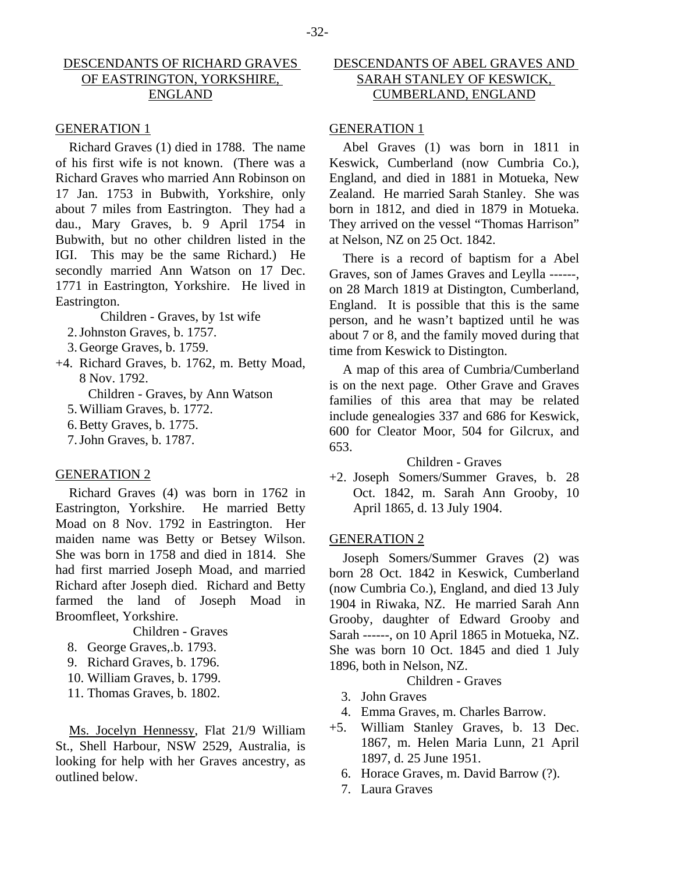# DESCENDANTS OF RICHARD GRAVES OF EASTRINGTON, YORKSHIRE, ENGLAND

#### GENERATION 1

Richard Graves (1) died in 1788. The name of his first wife is not known. (There was a Richard Graves who married Ann Robinson on 17 Jan. 1753 in Bubwith, Yorkshire, only about 7 miles from Eastrington. They had a dau., Mary Graves, b. 9 April 1754 in Bubwith, but no other children listed in the IGI. This may be the same Richard.) He secondly married Ann Watson on 17 Dec. 1771 in Eastrington, Yorkshire. He lived in Eastrington.

Children - Graves, by 1st wife

- 2. Johnston Graves, b. 1757.
- 3. George Graves, b. 1759.
- +4. Richard Graves, b. 1762, m. Betty Moad, 8 Nov. 1792.

Children - Graves, by Ann Watson

- 5. William Graves, b. 1772.
- 6. Betty Graves, b. 1775.
- 7. John Graves, b. 1787.

#### GENERATION 2

Richard Graves (4) was born in 1762 in Eastrington, Yorkshire. He married Betty Moad on 8 Nov. 1792 in Eastrington. Her maiden name was Betty or Betsey Wilson. She was born in 1758 and died in 1814. She had first married Joseph Moad, and married Richard after Joseph died. Richard and Betty farmed the land of Joseph Moad in Broomfleet, Yorkshire.

Children - Graves

- 8. George Graves,.b. 1793.
- 9. Richard Graves, b. 1796.
- 10. William Graves, b. 1799.
- 11. Thomas Graves, b. 1802.

Ms. Jocelyn Hennessy, Flat 21/9 William St., Shell Harbour, NSW 2529, Australia, is looking for help with her Graves ancestry, as outlined below.

# DESCENDANTS OF ABEL GRAVES AND SARAH STANLEY OF KESWICK, CUMBERLAND, ENGLAND

# GENERATION 1

Abel Graves (1) was born in 1811 in Keswick, Cumberland (now Cumbria Co.), England, and died in 1881 in Motueka, New Zealand. He married Sarah Stanley. She was born in 1812, and died in 1879 in Motueka. They arrived on the vessel "Thomas Harrison" at Nelson, NZ on 25 Oct. 1842.

There is a record of baptism for a Abel Graves, son of James Graves and Leylla ------, on 28 March 1819 at Distington, Cumberland, England. It is possible that this is the same person, and he wasn't baptized until he was about 7 or 8, and the family moved during that time from Keswick to Distington.

A map of this area of Cumbria/Cumberland is on the next page. Other Grave and Graves families of this area that may be related include genealogies 337 and 686 for Keswick, 600 for Cleator Moor, 504 for Gilcrux, and 653.

### Children - Graves

+2. Joseph Somers/Summer Graves, b. 28 Oct. 1842, m. Sarah Ann Grooby, 10 April 1865, d. 13 July 1904.

#### GENERATION 2

Joseph Somers/Summer Graves (2) was born 28 Oct. 1842 in Keswick, Cumberland (now Cumbria Co.), England, and died 13 July 1904 in Riwaka, NZ. He married Sarah Ann Grooby, daughter of Edward Grooby and Sarah ------, on 10 April 1865 in Motueka, NZ. She was born 10 Oct. 1845 and died 1 July 1896, both in Nelson, NZ.

# Children - Graves

- 3. John Graves
- 4. Emma Graves, m. Charles Barrow.
- +5. William Stanley Graves, b. 13 Dec. 1867, m. Helen Maria Lunn, 21 April 1897, d. 25 June 1951.
	- 6. Horace Graves, m. David Barrow (?).
	- 7. Laura Graves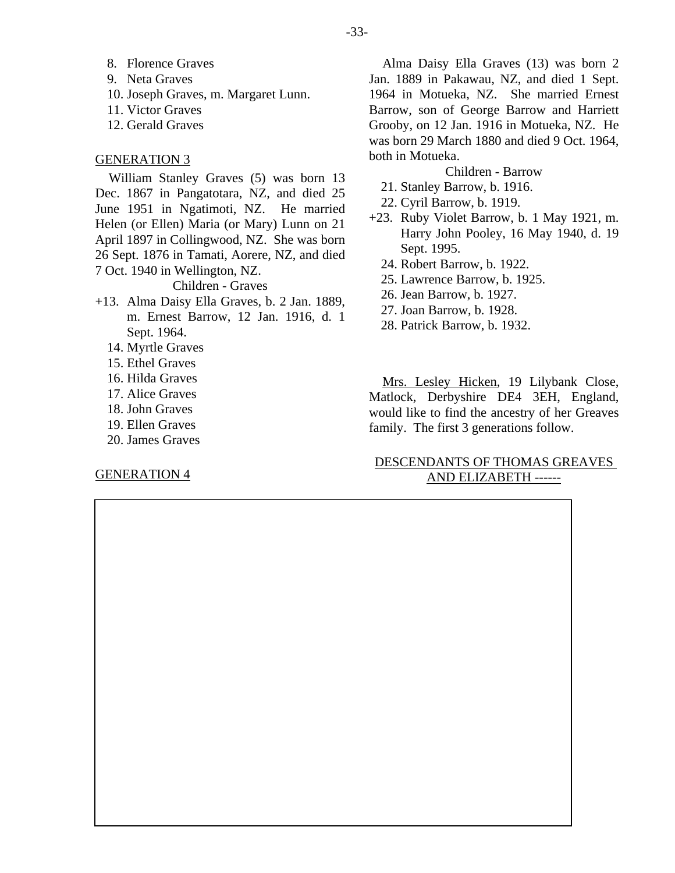- 8. Florence Graves
- 9. Neta Graves
- 10. Joseph Graves, m. Margaret Lunn.
- 11. Victor Graves
- 12. Gerald Graves

#### GENERATION 3

William Stanley Graves (5) was born 13 Dec. 1867 in Pangatotara, NZ, and died 25 June 1951 in Ngatimoti, NZ. He married Helen (or Ellen) Maria (or Mary) Lunn on 21 April 1897 in Collingwood, NZ. She was born 26 Sept. 1876 in Tamati, Aorere, NZ, and died 7 Oct. 1940 in Wellington, NZ. Children - Graves

+13. Alma Daisy Ella Graves, b. 2 Jan. 1889, m. Ernest Barrow, 12 Jan. 1916, d. 1 Sept. 1964.

- 14. Myrtle Graves
- 15. Ethel Graves
- 16. Hilda Graves
- 17. Alice Graves
- 18. John Graves
- 19. Ellen Graves
- 20. James Graves

#### GENERATION 4

Alma Daisy Ella Graves (13) was born 2 Jan. 1889 in Pakawau, NZ, and died 1 Sept. 1964 in Motueka, NZ. She married Ernest Barrow, son of George Barrow and Harriett Grooby, on 12 Jan. 1916 in Motueka, NZ. He was born 29 March 1880 and died 9 Oct. 1964, both in Motueka.

#### Children - Barrow

- 21. Stanley Barrow, b. 1916.
- 22. Cyril Barrow, b. 1919.
- +23. Ruby Violet Barrow, b. 1 May 1921, m. Harry John Pooley, 16 May 1940, d. 19 Sept. 1995.
	- 24. Robert Barrow, b. 1922.
	- 25. Lawrence Barrow, b. 1925.
	- 26. Jean Barrow, b. 1927.
	- 27. Joan Barrow, b. 1928.
	- 28. Patrick Barrow, b. 1932.

Mrs. Lesley Hicken, 19 Lilybank Close, Matlock, Derbyshire DE4 3EH, England, would like to find the ancestry of her Greaves family. The first 3 generations follow.

# DESCENDANTS OF THOMAS GREAVES AND ELIZABETH ------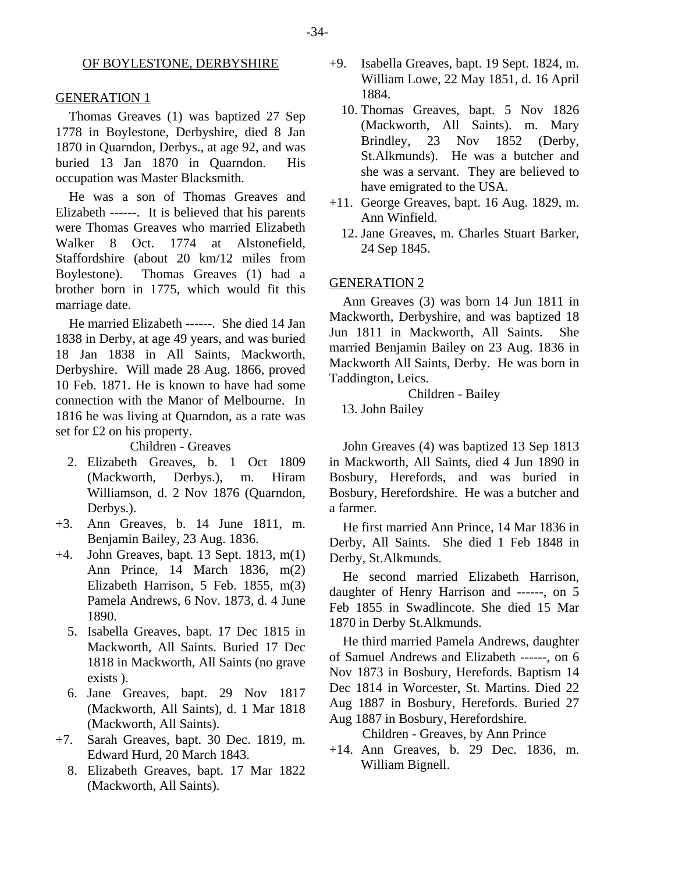#### OF BOYLESTONE, DERBYSHIRE

#### GENERATION 1

Thomas Greaves (1) was baptized 27 Sep 1778 in Boylestone, Derbyshire, died 8 Jan 1870 in Quarndon, Derbys., at age 92, and was buried 13 Jan 1870 in Quarndon. His occupation was Master Blacksmith.

He was a son of Thomas Greaves and Elizabeth ------. It is believed that his parents were Thomas Greaves who married Elizabeth Walker 8 Oct. 1774 at Alstonefield, Staffordshire (about 20 km/12 miles from Boylestone). Thomas Greaves (1) had a brother born in 1775, which would fit this marriage date.

He married Elizabeth ------. She died 14 Jan 1838 in Derby, at age 49 years, and was buried 18 Jan 1838 in All Saints, Mackworth, Derbyshire. Will made 28 Aug. 1866, proved 10 Feb. 1871. He is known to have had some connection with the Manor of Melbourne. In 1816 he was living at Quarndon, as a rate was set for £2 on his property.

Children - Greaves

- 2. Elizabeth Greaves, b. 1 Oct 1809 (Mackworth, Derbys.), m. Hiram Williamson, d. 2 Nov 1876 (Quarndon, Derbys.).
- +3. Ann Greaves, b. 14 June 1811, m. Benjamin Bailey, 23 Aug. 1836.
- +4. John Greaves, bapt. 13 Sept. 1813, m(1) Ann Prince, 14 March 1836, m(2) Elizabeth Harrison, 5 Feb. 1855, m(3) Pamela Andrews, 6 Nov. 1873, d. 4 June 1890.
	- 5. Isabella Greaves, bapt. 17 Dec 1815 in Mackworth, All Saints. Buried 17 Dec 1818 in Mackworth, All Saints (no grave exists ).
	- 6. Jane Greaves, bapt. 29 Nov 1817 (Mackworth, All Saints), d. 1 Mar 1818 (Mackworth, All Saints).
- +7. Sarah Greaves, bapt. 30 Dec. 1819, m. Edward Hurd, 20 March 1843.
	- 8. Elizabeth Greaves, bapt. 17 Mar 1822 (Mackworth, All Saints).
- +9. Isabella Greaves, bapt. 19 Sept. 1824, m. William Lowe, 22 May 1851, d. 16 April 1884.
	- 10. Thomas Greaves, bapt. 5 Nov 1826 (Mackworth, All Saints). m. Mary Brindley, 23 Nov 1852 (Derby, St.Alkmunds). He was a butcher and she was a servant. They are believed to have emigrated to the USA.
- +11. George Greaves, bapt. 16 Aug. 1829, m. Ann Winfield.
	- 12. Jane Greaves, m. Charles Stuart Barker, 24 Sep 1845.

#### GENERATION 2

Ann Greaves (3) was born 14 Jun 1811 in Mackworth, Derbyshire, and was baptized 18 Jun 1811 in Mackworth, All Saints. She married Benjamin Bailey on 23 Aug. 1836 in Mackworth All Saints, Derby. He was born in Taddington, Leics.

Children - Bailey

13. John Bailey

John Greaves (4) was baptized 13 Sep 1813 in Mackworth, All Saints, died 4 Jun 1890 in Bosbury, Herefords, and was buried in Bosbury, Herefordshire. He was a butcher and a farmer.

He first married Ann Prince, 14 Mar 1836 in Derby, All Saints. She died 1 Feb 1848 in Derby, St.Alkmunds.

He second married Elizabeth Harrison, daughter of Henry Harrison and ------, on 5 Feb 1855 in Swadlincote. She died 15 Mar 1870 in Derby St.Alkmunds.

He third married Pamela Andrews, daughter of Samuel Andrews and Elizabeth ------, on 6 Nov 1873 in Bosbury, Herefords. Baptism 14 Dec 1814 in Worcester, St. Martins. Died 22 Aug 1887 in Bosbury, Herefords. Buried 27 Aug 1887 in Bosbury, Herefordshire.

Children - Greaves, by Ann Prince

+14. Ann Greaves, b. 29 Dec. 1836, m. William Bignell.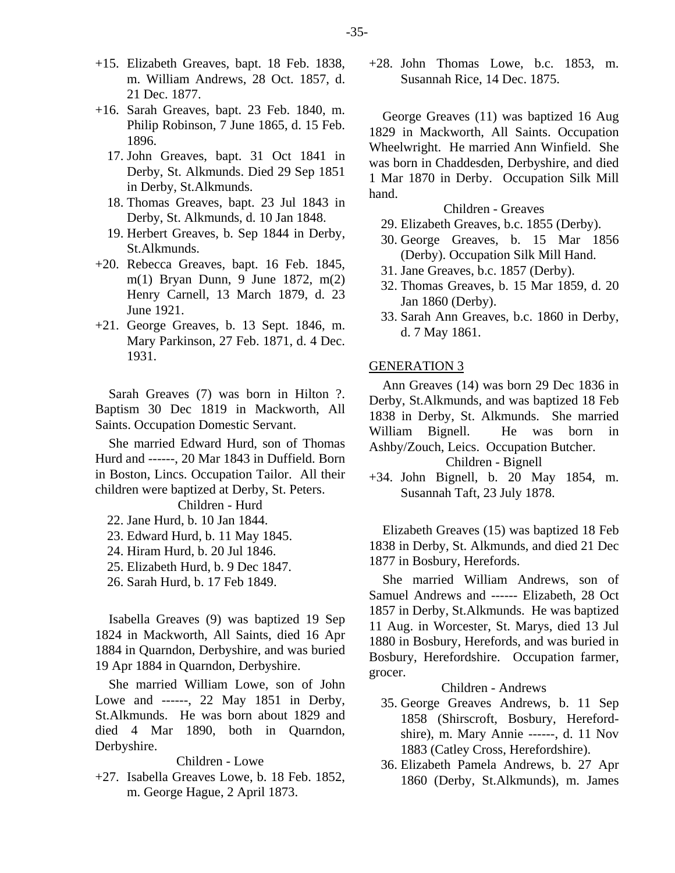- +15. Elizabeth Greaves, bapt. 18 Feb. 1838, m. William Andrews, 28 Oct. 1857, d. 21 Dec. 1877.
- +16. Sarah Greaves, bapt. 23 Feb. 1840, m. Philip Robinson, 7 June 1865, d. 15 Feb. 1896.
	- 17. John Greaves, bapt. 31 Oct 1841 in Derby, St. Alkmunds. Died 29 Sep 1851 in Derby, St.Alkmunds.
	- 18. Thomas Greaves, bapt. 23 Jul 1843 in Derby, St. Alkmunds, d. 10 Jan 1848.
	- 19. Herbert Greaves, b. Sep 1844 in Derby, St.Alkmunds.
- +20. Rebecca Greaves, bapt. 16 Feb. 1845, m(1) Bryan Dunn, 9 June 1872, m(2) Henry Carnell, 13 March 1879, d. 23 June 1921.
- +21. George Greaves, b. 13 Sept. 1846, m. Mary Parkinson, 27 Feb. 1871, d. 4 Dec. 1931.

Sarah Greaves (7) was born in Hilton ?. Baptism 30 Dec 1819 in Mackworth, All Saints. Occupation Domestic Servant.

She married Edward Hurd, son of Thomas Hurd and ------, 20 Mar 1843 in Duffield. Born in Boston, Lincs. Occupation Tailor. All their children were baptized at Derby, St. Peters. Children - Hurd

22. Jane Hurd, b. 10 Jan 1844.

- 23. Edward Hurd, b. 11 May 1845.
- 24. Hiram Hurd, b. 20 Jul 1846.
- 25. Elizabeth Hurd, b. 9 Dec 1847.
- 26. Sarah Hurd, b. 17 Feb 1849.

Isabella Greaves (9) was baptized 19 Sep 1824 in Mackworth, All Saints, died 16 Apr 1884 in Quarndon, Derbyshire, and was buried 19 Apr 1884 in Quarndon, Derbyshire.

She married William Lowe, son of John Lowe and ------, 22 May 1851 in Derby, St.Alkmunds. He was born about 1829 and died 4 Mar 1890, both in Quarndon, Derbyshire.

#### Children - Lowe

+27. Isabella Greaves Lowe, b. 18 Feb. 1852, m. George Hague, 2 April 1873.

+28. John Thomas Lowe, b.c. 1853, m. Susannah Rice, 14 Dec. 1875.

George Greaves (11) was baptized 16 Aug 1829 in Mackworth, All Saints. Occupation Wheelwright. He married Ann Winfield. She was born in Chaddesden, Derbyshire, and died 1 Mar 1870 in Derby. Occupation Silk Mill hand.

#### Children - Greaves

- 29. Elizabeth Greaves, b.c. 1855 (Derby).
- 30. George Greaves, b. 15 Mar 1856 (Derby). Occupation Silk Mill Hand.
- 31. Jane Greaves, b.c. 1857 (Derby).
- 32. Thomas Greaves, b. 15 Mar 1859, d. 20 Jan 1860 (Derby).
- 33. Sarah Ann Greaves, b.c. 1860 in Derby, d. 7 May 1861.

#### GENERATION 3

Ann Greaves (14) was born 29 Dec 1836 in Derby, St.Alkmunds, and was baptized 18 Feb 1838 in Derby, St. Alkmunds. She married William Bignell. He was born in Ashby/Zouch, Leics. Occupation Butcher.

# Children - Bignell

+34. John Bignell, b. 20 May 1854, m. Susannah Taft, 23 July 1878.

Elizabeth Greaves (15) was baptized 18 Feb 1838 in Derby, St. Alkmunds, and died 21 Dec 1877 in Bosbury, Herefords.

She married William Andrews, son of Samuel Andrews and ------ Elizabeth, 28 Oct 1857 in Derby, St.Alkmunds. He was baptized 11 Aug. in Worcester, St. Marys, died 13 Jul 1880 in Bosbury, Herefords, and was buried in Bosbury, Herefordshire. Occupation farmer, grocer.

Children - Andrews

- 35. George Greaves Andrews, b. 11 Sep 1858 (Shirscroft, Bosbury, Herefordshire), m. Mary Annie ------, d. 11 Nov 1883 (Catley Cross, Herefordshire).
- 36. Elizabeth Pamela Andrews, b. 27 Apr 1860 (Derby, St.Alkmunds), m. James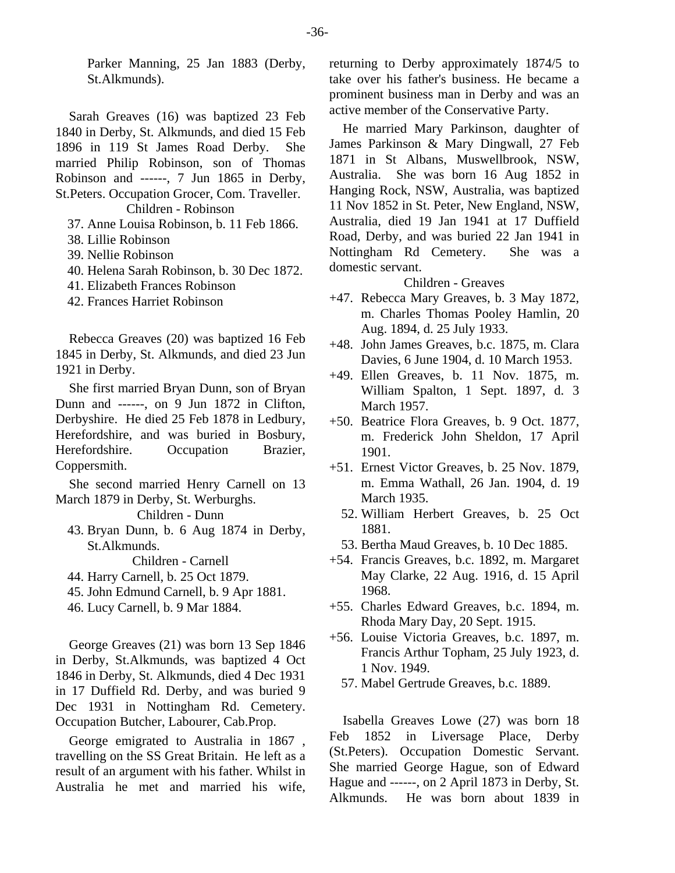Parker Manning, 25 Jan 1883 (Derby, St.Alkmunds).

Sarah Greaves (16) was baptized 23 Feb 1840 in Derby, St. Alkmunds, and died 15 Feb 1896 in 119 St James Road Derby. She married Philip Robinson, son of Thomas Robinson and ------, 7 Jun 1865 in Derby, St.Peters. Occupation Grocer, Com. Traveller.

Children - Robinson

- 37. Anne Louisa Robinson, b. 11 Feb 1866.
- 38. Lillie Robinson
- 39. Nellie Robinson
- 40. Helena Sarah Robinson, b. 30 Dec 1872.
- 41. Elizabeth Frances Robinson
- 42. Frances Harriet Robinson

Rebecca Greaves (20) was baptized 16 Feb 1845 in Derby, St. Alkmunds, and died 23 Jun 1921 in Derby.

She first married Bryan Dunn, son of Bryan Dunn and ------, on 9 Jun 1872 in Clifton, Derbyshire. He died 25 Feb 1878 in Ledbury, Herefordshire, and was buried in Bosbury, Herefordshire. Occupation Brazier, Coppersmith.

She second married Henry Carnell on 13 March 1879 in Derby, St. Werburghs.

Children - Dunn

 43. Bryan Dunn, b. 6 Aug 1874 in Derby, St.Alkmunds.

Children - Carnell

- 44. Harry Carnell, b. 25 Oct 1879.
- 45. John Edmund Carnell, b. 9 Apr 1881.
- 46. Lucy Carnell, b. 9 Mar 1884.

George Greaves (21) was born 13 Sep 1846 in Derby, St.Alkmunds, was baptized 4 Oct 1846 in Derby, St. Alkmunds, died 4 Dec 1931 in 17 Duffield Rd. Derby, and was buried 9 Dec 1931 in Nottingham Rd. Cemetery. Occupation Butcher, Labourer, Cab.Prop.

George emigrated to Australia in 1867 , travelling on the SS Great Britain. He left as a result of an argument with his father. Whilst in Australia he met and married his wife,

returning to Derby approximately 1874/5 to take over his father's business. He became a prominent business man in Derby and was an active member of the Conservative Party.

He married Mary Parkinson, daughter of James Parkinson & Mary Dingwall, 27 Feb 1871 in St Albans, Muswellbrook, NSW, Australia. She was born 16 Aug 1852 in Hanging Rock, NSW, Australia, was baptized 11 Nov 1852 in St. Peter, New England, NSW, Australia, died 19 Jan 1941 at 17 Duffield Road, Derby, and was buried 22 Jan 1941 in Nottingham Rd Cemetery. She was a domestic servant.

Children - Greaves

- +47. Rebecca Mary Greaves, b. 3 May 1872, m. Charles Thomas Pooley Hamlin, 20 Aug. 1894, d. 25 July 1933.
- +48. John James Greaves, b.c. 1875, m. Clara Davies, 6 June 1904, d. 10 March 1953.
- +49. Ellen Greaves, b. 11 Nov. 1875, m. William Spalton, 1 Sept. 1897, d. 3 March 1957.
- +50. Beatrice Flora Greaves, b. 9 Oct. 1877, m. Frederick John Sheldon, 17 April 1901.
- +51. Ernest Victor Greaves, b. 25 Nov. 1879, m. Emma Wathall, 26 Jan. 1904, d. 19 March 1935.
	- 52. William Herbert Greaves, b. 25 Oct 1881.
	- 53. Bertha Maud Greaves, b. 10 Dec 1885.
- +54. Francis Greaves, b.c. 1892, m. Margaret May Clarke, 22 Aug. 1916, d. 15 April 1968.
- +55. Charles Edward Greaves, b.c. 1894, m. Rhoda Mary Day, 20 Sept. 1915.
- +56. Louise Victoria Greaves, b.c. 1897, m. Francis Arthur Topham, 25 July 1923, d. 1 Nov. 1949.
	- 57. Mabel Gertrude Greaves, b.c. 1889.

Isabella Greaves Lowe (27) was born 18 Feb 1852 in Liversage Place, Derby (St.Peters). Occupation Domestic Servant. She married George Hague, son of Edward Hague and ------, on 2 April 1873 in Derby, St. Alkmunds. He was born about 1839 in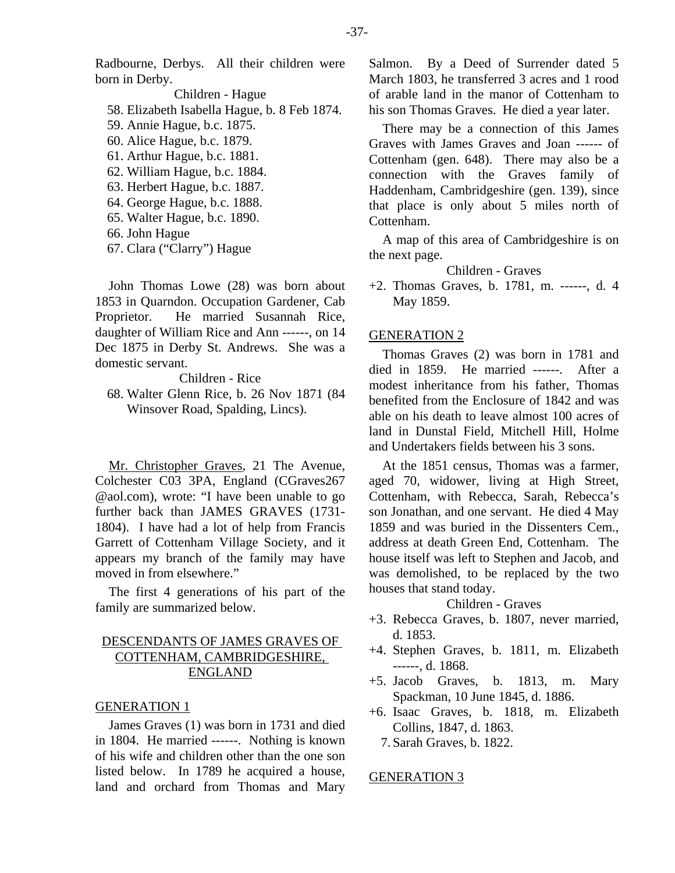Radbourne, Derbys. All their children were born in Derby.

Children - Hague 58. Elizabeth Isabella Hague, b. 8 Feb 1874. 59. Annie Hague, b.c. 1875. 60. Alice Hague, b.c. 1879. 61. Arthur Hague, b.c. 1881. 62. William Hague, b.c. 1884. 63. Herbert Hague, b.c. 1887. 64. George Hague, b.c. 1888. 65. Walter Hague, b.c. 1890. 66. John Hague

67. Clara ("Clarry") Hague

John Thomas Lowe (28) was born about 1853 in Quarndon. Occupation Gardener, Cab Proprietor. He married Susannah Rice, daughter of William Rice and Ann ------, on 14 Dec 1875 in Derby St. Andrews. She was a domestic servant.

Children - Rice

 68. Walter Glenn Rice, b. 26 Nov 1871 (84 Winsover Road, Spalding, Lincs).

Mr. Christopher Graves, 21 The Avenue, Colchester C03 3PA, England (CGraves267 @aol.com), wrote: "I have been unable to go further back than JAMES GRAVES (1731- 1804). I have had a lot of help from Francis Garrett of Cottenham Village Society, and it appears my branch of the family may have moved in from elsewhere."

The first 4 generations of his part of the family are summarized below.

# DESCENDANTS OF JAMES GRAVES OF COTTENHAM, CAMBRIDGESHIRE, ENGLAND

#### GENERATION 1

James Graves (1) was born in 1731 and died in 1804. He married ------. Nothing is known of his wife and children other than the one son listed below. In 1789 he acquired a house, land and orchard from Thomas and Mary Salmon. By a Deed of Surrender dated 5 March 1803, he transferred 3 acres and 1 rood of arable land in the manor of Cottenham to his son Thomas Graves. He died a year later.

There may be a connection of this James Graves with James Graves and Joan ------ of Cottenham (gen. 648). There may also be a connection with the Graves family of Haddenham, Cambridgeshire (gen. 139), since that place is only about 5 miles north of Cottenham.

A map of this area of Cambridgeshire is on the next page.

Children - Graves

+2. Thomas Graves, b. 1781, m. ------, d. 4 May 1859.

#### GENERATION 2

Thomas Graves (2) was born in 1781 and died in 1859. He married ------. After a modest inheritance from his father, Thomas benefited from the Enclosure of 1842 and was able on his death to leave almost 100 acres of land in Dunstal Field, Mitchell Hill, Holme and Undertakers fields between his 3 sons.

At the 1851 census, Thomas was a farmer, aged 70, widower, living at High Street, Cottenham, with Rebecca, Sarah, Rebecca's son Jonathan, and one servant. He died 4 May 1859 and was buried in the Dissenters Cem., address at death Green End, Cottenham. The house itself was left to Stephen and Jacob, and was demolished, to be replaced by the two houses that stand today.

Children - Graves

- +3. Rebecca Graves, b. 1807, never married, d. 1853.
- +4. Stephen Graves, b. 1811, m. Elizabeth ------, d. 1868.
- +5. Jacob Graves, b. 1813, m. Mary Spackman, 10 June 1845, d. 1886.
- +6. Isaac Graves, b. 1818, m. Elizabeth Collins, 1847, d. 1863.
	- 7. Sarah Graves, b. 1822.

#### GENERATION 3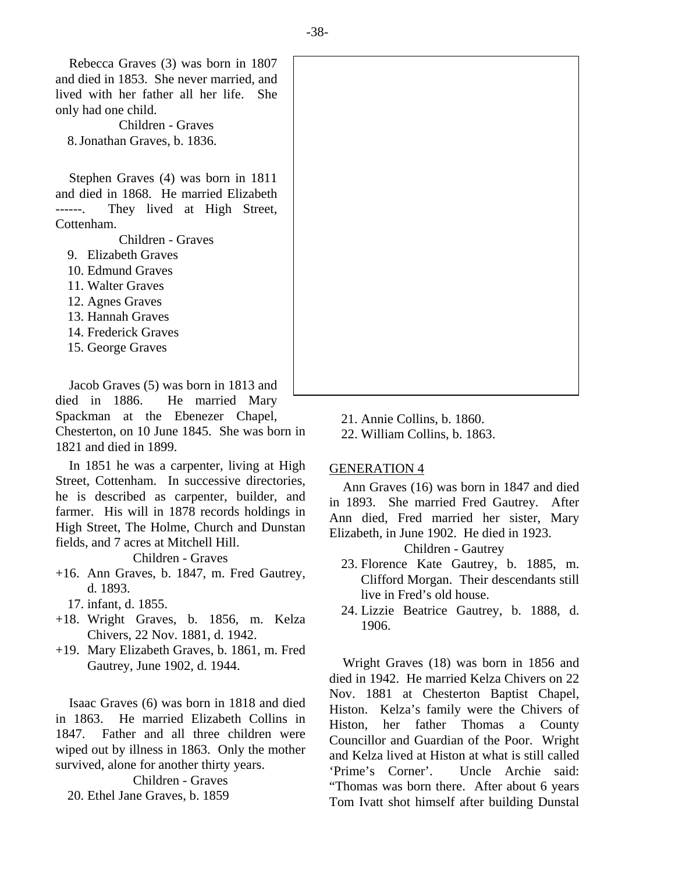Rebecca Graves (3) was born in 1807 and died in 1853. She never married, and lived with her father all her life. She only had one child.

Children - Graves 8. Jonathan Graves, b. 1836.

Stephen Graves (4) was born in 1811 and died in 1868. He married Elizabeth ------. They lived at High Street, Cottenham.

Children - Graves

- 9. Elizabeth Graves
- 10. Edmund Graves
- 11. Walter Graves
- 12. Agnes Graves
- 13. Hannah Graves
- 14. Frederick Graves
- 15. George Graves

Jacob Graves (5) was born in 1813 and died in 1886. He married Mary Spackman at the Ebenezer Chapel, Chesterton, on 10 June 1845. She was born in 1821 and died in 1899.

In 1851 he was a carpenter, living at High Street, Cottenham. In successive directories, he is described as carpenter, builder, and farmer. His will in 1878 records holdings in High Street, The Holme, Church and Dunstan fields, and 7 acres at Mitchell Hill.

Children - Graves

- +16. Ann Graves, b. 1847, m. Fred Gautrey, d. 1893.
	- 17. infant, d. 1855.
- +18. Wright Graves, b. 1856, m. Kelza Chivers, 22 Nov. 1881, d. 1942.
- +19. Mary Elizabeth Graves, b. 1861, m. Fred Gautrey, June 1902, d. 1944.

Isaac Graves (6) was born in 1818 and died in 1863. He married Elizabeth Collins in 1847. Father and all three children were wiped out by illness in 1863. Only the mother survived, alone for another thirty years.

Children - Graves

20. Ethel Jane Graves, b. 1859

21. Annie Collins, b. 1860.

22. William Collins, b. 1863.

#### GENERATION 4

Ann Graves (16) was born in 1847 and died in 1893. She married Fred Gautrey. After Ann died, Fred married her sister, Mary Elizabeth, in June 1902. He died in 1923.

Children - Gautrey

- 23. Florence Kate Gautrey, b. 1885, m. Clifford Morgan. Their descendants still live in Fred's old house.
- 24. Lizzie Beatrice Gautrey, b. 1888, d. 1906.

Wright Graves (18) was born in 1856 and died in 1942. He married Kelza Chivers on 22 Nov. 1881 at Chesterton Baptist Chapel, Histon. Kelza's family were the Chivers of Histon, her father Thomas a County Councillor and Guardian of the Poor. Wright and Kelza lived at Histon at what is still called 'Prime's Corner'. Uncle Archie said: "Thomas was born there. After about 6 years Tom Ivatt shot himself after building Dunstal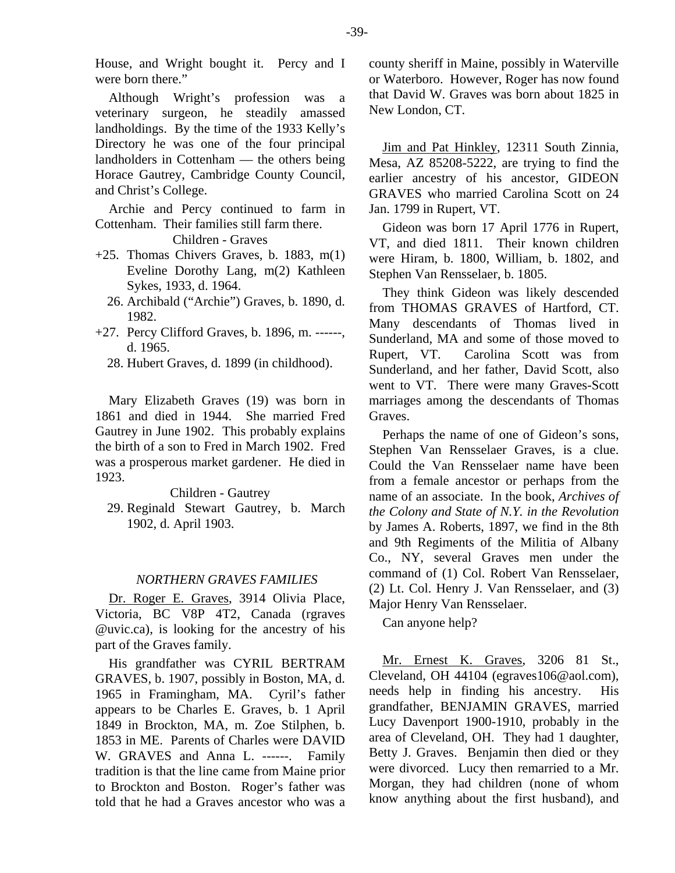House, and Wright bought it. Percy and I were born there."

Although Wright's profession was a veterinary surgeon, he steadily amassed landholdings. By the time of the 1933 Kelly's Directory he was one of the four principal landholders in Cottenham — the others being Horace Gautrey, Cambridge County Council, and Christ's College.

Archie and Percy continued to farm in Cottenham. Their families still farm there.

Children - Graves

- +25. Thomas Chivers Graves, b. 1883, m(1) Eveline Dorothy Lang, m(2) Kathleen Sykes, 1933, d. 1964.
	- 26. Archibald ("Archie") Graves, b. 1890, d. 1982.
- +27. Percy Clifford Graves, b. 1896, m. ------, d. 1965.
	- 28. Hubert Graves, d. 1899 (in childhood).

Mary Elizabeth Graves (19) was born in 1861 and died in 1944. She married Fred Gautrey in June 1902. This probably explains the birth of a son to Fred in March 1902. Fred was a prosperous market gardener. He died in 1923.

Children - Gautrey

 29. Reginald Stewart Gautrey, b. March 1902, d. April 1903.

#### *NORTHERN GRAVES FAMILIES*

Dr. Roger E. Graves, 3914 Olivia Place, Victoria, BC V8P 4T2, Canada (rgraves @uvic.ca), is looking for the ancestry of his part of the Graves family.

His grandfather was CYRIL BERTRAM GRAVES, b. 1907, possibly in Boston, MA, d. 1965 in Framingham, MA. Cyril's father appears to be Charles E. Graves, b. 1 April 1849 in Brockton, MA, m. Zoe Stilphen, b. 1853 in ME. Parents of Charles were DAVID W. GRAVES and Anna L. ------. Family tradition is that the line came from Maine prior to Brockton and Boston. Roger's father was told that he had a Graves ancestor who was a county sheriff in Maine, possibly in Waterville or Waterboro. However, Roger has now found that David W. Graves was born about 1825 in New London, CT.

Jim and Pat Hinkley, 12311 South Zinnia, Mesa, AZ 85208-5222, are trying to find the earlier ancestry of his ancestor, GIDEON GRAVES who married Carolina Scott on 24 Jan. 1799 in Rupert, VT.

Gideon was born 17 April 1776 in Rupert, VT, and died 1811. Their known children were Hiram, b. 1800, William, b. 1802, and Stephen Van Rensselaer, b. 1805.

They think Gideon was likely descended from THOMAS GRAVES of Hartford, CT. Many descendants of Thomas lived in Sunderland, MA and some of those moved to Rupert, VT. Carolina Scott was from Sunderland, and her father, David Scott, also went to VT. There were many Graves-Scott marriages among the descendants of Thomas Graves.

Perhaps the name of one of Gideon's sons, Stephen Van Rensselaer Graves, is a clue. Could the Van Rensselaer name have been from a female ancestor or perhaps from the name of an associate. In the book, *Archives of the Colony and State of N.Y. in the Revolution* by James A. Roberts, 1897, we find in the 8th and 9th Regiments of the Militia of Albany Co., NY, several Graves men under the command of (1) Col. Robert Van Rensselaer, (2) Lt. Col. Henry J. Van Rensselaer, and (3) Major Henry Van Rensselaer.

Can anyone help?

Mr. Ernest K. Graves, 3206 81 St., Cleveland, OH 44104 (egraves106@aol.com), needs help in finding his ancestry. His grandfather, BENJAMIN GRAVES, married Lucy Davenport 1900-1910, probably in the area of Cleveland, OH. They had 1 daughter, Betty J. Graves. Benjamin then died or they were divorced. Lucy then remarried to a Mr. Morgan, they had children (none of whom know anything about the first husband), and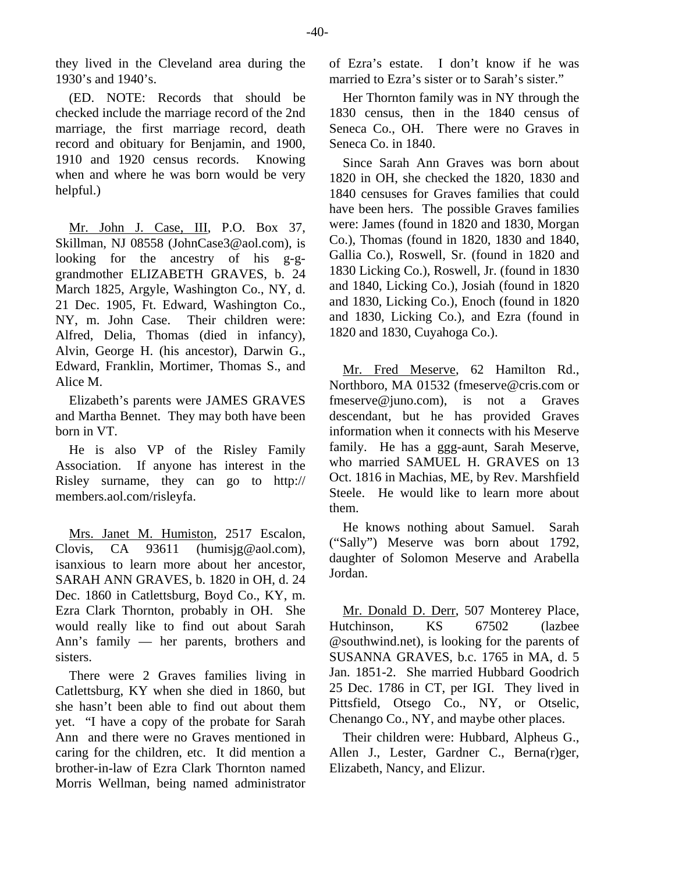(ED. NOTE: Records that should be checked include the marriage record of the 2nd marriage, the first marriage record, death record and obituary for Benjamin, and 1900, 1910 and 1920 census records. Knowing when and where he was born would be very helpful.)

1930's and 1940's.

Mr. John J. Case, III, P.O. Box 37, Skillman, NJ 08558 (JohnCase3@aol.com), is looking for the ancestry of his g-ggrandmother ELIZABETH GRAVES, b. 24 March 1825, Argyle, Washington Co., NY, d. 21 Dec. 1905, Ft. Edward, Washington Co., NY, m. John Case. Their children were: Alfred, Delia, Thomas (died in infancy), Alvin, George H. (his ancestor), Darwin G., Edward, Franklin, Mortimer, Thomas S., and Alice M.

Elizabeth's parents were JAMES GRAVES and Martha Bennet. They may both have been born in VT.

He is also VP of the Risley Family Association. If anyone has interest in the Risley surname, they can go to http:// members.aol.com/risleyfa.

Mrs. Janet M. Humiston, 2517 Escalon, Clovis, CA 93611 (humisig@aol.com), isanxious to learn more about her ancestor, SARAH ANN GRAVES, b. 1820 in OH, d. 24 Dec. 1860 in Catlettsburg, Boyd Co., KY, m. Ezra Clark Thornton, probably in OH. She would really like to find out about Sarah Ann's family — her parents, brothers and sisters.

There were 2 Graves families living in Catlettsburg, KY when she died in 1860, but she hasn't been able to find out about them yet. "I have a copy of the probate for Sarah Ann and there were no Graves mentioned in caring for the children, etc. It did mention a brother-in-law of Ezra Clark Thornton named Morris Wellman, being named administrator

of Ezra's estate. I don't know if he was married to Ezra's sister or to Sarah's sister."

Her Thornton family was in NY through the 1830 census, then in the 1840 census of Seneca Co., OH. There were no Graves in Seneca Co. in 1840.

Since Sarah Ann Graves was born about 1820 in OH, she checked the 1820, 1830 and 1840 censuses for Graves families that could have been hers. The possible Graves families were: James (found in 1820 and 1830, Morgan Co.), Thomas (found in 1820, 1830 and 1840, Gallia Co.), Roswell, Sr. (found in 1820 and 1830 Licking Co.), Roswell, Jr. (found in 1830 and 1840, Licking Co.), Josiah (found in 1820 and 1830, Licking Co.), Enoch (found in 1820 and 1830, Licking Co.), and Ezra (found in 1820 and 1830, Cuyahoga Co.).

Mr. Fred Meserve, 62 Hamilton Rd., Northboro, MA 01532 (fmeserve@cris.com or fmeserve@juno.com), is not a Graves descendant, but he has provided Graves information when it connects with his Meserve family. He has a ggg-aunt, Sarah Meserve, who married SAMUEL H. GRAVES on 13 Oct. 1816 in Machias, ME, by Rev. Marshfield Steele. He would like to learn more about them.

He knows nothing about Samuel. Sarah ("Sally") Meserve was born about 1792, daughter of Solomon Meserve and Arabella Jordan.

Mr. Donald D. Derr, 507 Monterey Place, Hutchinson, KS 67502 (lazbee @southwind.net), is looking for the parents of SUSANNA GRAVES, b.c. 1765 in MA, d. 5 Jan. 1851-2. She married Hubbard Goodrich 25 Dec. 1786 in CT, per IGI. They lived in Pittsfield, Otsego Co., NY, or Otselic, Chenango Co., NY, and maybe other places.

Their children were: Hubbard, Alpheus G., Allen J., Lester, Gardner C., Berna(r)ger, Elizabeth, Nancy, and Elizur.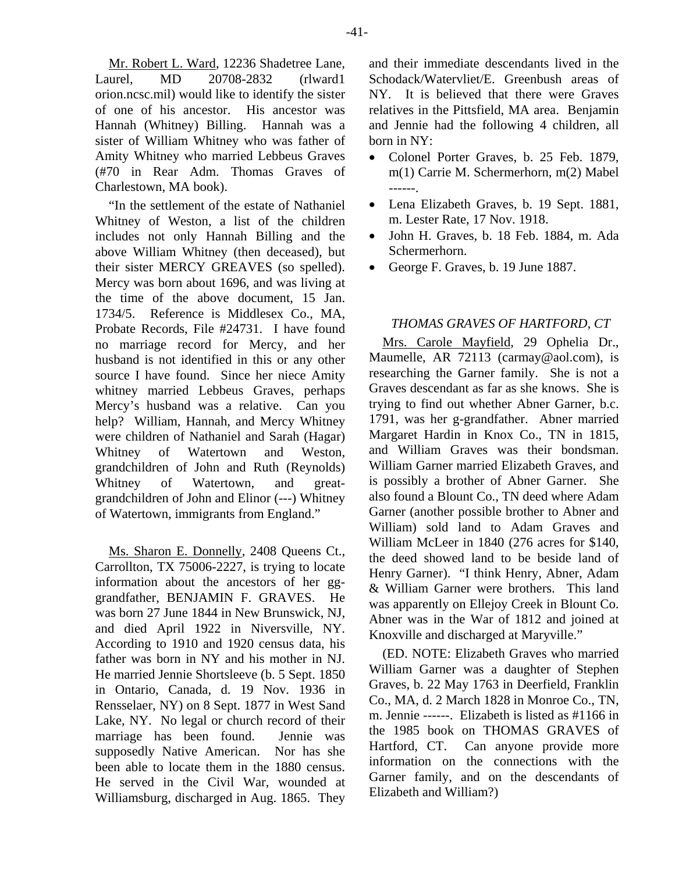Mr. Robert L. Ward, 12236 Shadetree Lane, Laurel, MD 20708-2832 (rlward1 orion.ncsc.mil) would like to identify the sister of one of his ancestor. His ancestor was Hannah (Whitney) Billing. Hannah was a sister of William Whitney who was father of Amity Whitney who married Lebbeus Graves (#70 in Rear Adm. Thomas Graves of Charlestown, MA book).

"In the settlement of the estate of Nathaniel Whitney of Weston, a list of the children includes not only Hannah Billing and the above William Whitney (then deceased), but their sister MERCY GREAVES (so spelled). Mercy was born about 1696, and was living at the time of the above document, 15 Jan. 1734/5. Reference is Middlesex Co., MA, Probate Records, File #24731. I have found no marriage record for Mercy, and her husband is not identified in this or any other source I have found. Since her niece Amity whitney married Lebbeus Graves, perhaps Mercy's husband was a relative. Can you help? William, Hannah, and Mercy Whitney were children of Nathaniel and Sarah (Hagar) Whitney of Watertown and Weston, grandchildren of John and Ruth (Reynolds) Whitney of Watertown, and greatgrandchildren of John and Elinor (---) Whitney of Watertown, immigrants from England."

Ms. Sharon E. Donnelly, 2408 Queens Ct., Carrollton, TX 75006-2227, is trying to locate information about the ancestors of her gggrandfather, BENJAMIN F. GRAVES. He was born 27 June 1844 in New Brunswick, NJ, and died April 1922 in Niversville, NY. According to 1910 and 1920 census data, his father was born in NY and his mother in NJ. He married Jennie Shortsleeve (b. 5 Sept. 1850 in Ontario, Canada, d. 19 Nov. 1936 in Rensselaer, NY) on 8 Sept. 1877 in West Sand Lake, NY. No legal or church record of their marriage has been found. Jennie was supposedly Native American. Nor has she been able to locate them in the 1880 census. He served in the Civil War, wounded at Williamsburg, discharged in Aug. 1865. They and their immediate descendants lived in the Schodack/Watervliet/E. Greenbush areas of NY. It is believed that there were Graves relatives in the Pittsfield, MA area. Benjamin and Jennie had the following 4 children, all born in NY:

- Colonel Porter Graves, b. 25 Feb. 1879, m(1) Carrie M. Schermerhorn, m(2) Mabel ------.
- Lena Elizabeth Graves, b. 19 Sept. 1881, m. Lester Rate, 17 Nov. 1918.
- John H. Graves, b. 18 Feb. 1884, m. Ada Schermerhorn.
- George F. Graves, b. 19 June 1887.

# *THOMAS GRAVES OF HARTFORD, CT*

Mrs. Carole Mayfield, 29 Ophelia Dr., Maumelle, AR 72113 (carmay@aol.com), is researching the Garner family. She is not a Graves descendant as far as she knows. She is trying to find out whether Abner Garner, b.c. 1791, was her g-grandfather. Abner married Margaret Hardin in Knox Co., TN in 1815, and William Graves was their bondsman. William Garner married Elizabeth Graves, and is possibly a brother of Abner Garner. She also found a Blount Co., TN deed where Adam Garner (another possible brother to Abner and William) sold land to Adam Graves and William McLeer in 1840 (276 acres for \$140, the deed showed land to be beside land of Henry Garner). "I think Henry, Abner, Adam & William Garner were brothers. This land was apparently on Ellejoy Creek in Blount Co. Abner was in the War of 1812 and joined at Knoxville and discharged at Maryville."

(ED. NOTE: Elizabeth Graves who married William Garner was a daughter of Stephen Graves, b. 22 May 1763 in Deerfield, Franklin Co., MA, d. 2 March 1828 in Monroe Co., TN, m. Jennie ------. Elizabeth is listed as #1166 in the 1985 book on THOMAS GRAVES of Hartford, CT. Can anyone provide more information on the connections with the Garner family, and on the descendants of Elizabeth and William?)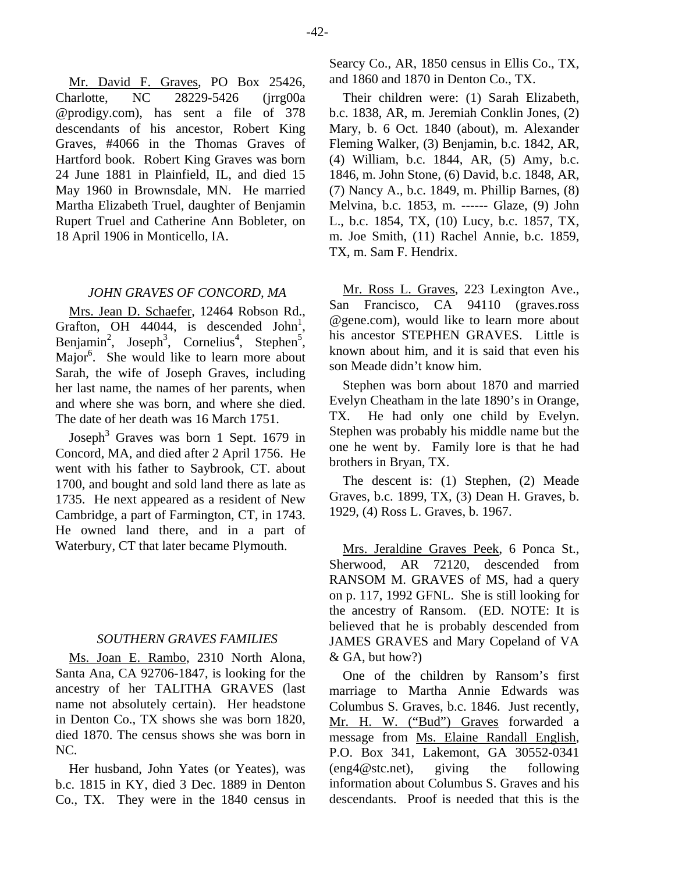Mr. David F. Graves, PO Box 25426, Charlotte, NC 28229-5426 (jrrg00a @prodigy.com), has sent a file of 378 descendants of his ancestor, Robert King Graves, #4066 in the Thomas Graves of Hartford book. Robert King Graves was born 24 June 1881 in Plainfield, IL, and died 15 May 1960 in Brownsdale, MN. He married Martha Elizabeth Truel, daughter of Benjamin Rupert Truel and Catherine Ann Bobleter, on 18 April 1906 in Monticello, IA.

#### *JOHN GRAVES OF CONCORD, MA*

Mrs. Jean D. Schaefer, 12464 Robson Rd., Grafton, OH  $44044$ , is descended John<sup>1</sup>, Benjamin<sup>2</sup>, Joseph<sup>3</sup>, Cornelius<sup>4</sup>, Stephen<sup>5</sup>, Major<sup>6</sup>. She would like to learn more about Sarah, the wife of Joseph Graves, including her last name, the names of her parents, when and where she was born, and where she died. The date of her death was 16 March 1751.

Joseph<sup>3</sup> Graves was born 1 Sept. 1679 in Concord, MA, and died after 2 April 1756. He went with his father to Saybrook, CT. about 1700, and bought and sold land there as late as 1735. He next appeared as a resident of New Cambridge, a part of Farmington, CT, in 1743. He owned land there, and in a part of Waterbury, CT that later became Plymouth.

### *SOUTHERN GRAVES FAMILIES*

Ms. Joan E. Rambo, 2310 North Alona, Santa Ana, CA 92706-1847, is looking for the ancestry of her TALITHA GRAVES (last name not absolutely certain). Her headstone in Denton Co., TX shows she was born 1820, died 1870. The census shows she was born in NC.

Her husband, John Yates (or Yeates), was b.c. 1815 in KY, died 3 Dec. 1889 in Denton Co., TX. They were in the 1840 census in Searcy Co., AR, 1850 census in Ellis Co., TX, and 1860 and 1870 in Denton Co., TX.

Their children were: (1) Sarah Elizabeth, b.c. 1838, AR, m. Jeremiah Conklin Jones, (2) Mary, b. 6 Oct. 1840 (about), m. Alexander Fleming Walker, (3) Benjamin, b.c. 1842, AR, (4) William, b.c. 1844, AR, (5) Amy, b.c. 1846, m. John Stone, (6) David, b.c. 1848, AR, (7) Nancy A., b.c. 1849, m. Phillip Barnes, (8) Melvina, b.c. 1853, m. ------ Glaze, (9) John L., b.c. 1854, TX, (10) Lucy, b.c. 1857, TX, m. Joe Smith, (11) Rachel Annie, b.c. 1859, TX, m. Sam F. Hendrix.

Mr. Ross L. Graves, 223 Lexington Ave., San Francisco, CA 94110 (graves.ross @gene.com), would like to learn more about his ancestor STEPHEN GRAVES. Little is known about him, and it is said that even his son Meade didn't know him.

Stephen was born about 1870 and married Evelyn Cheatham in the late 1890's in Orange, TX. He had only one child by Evelyn. Stephen was probably his middle name but the one he went by. Family lore is that he had brothers in Bryan, TX.

The descent is: (1) Stephen, (2) Meade Graves, b.c. 1899, TX, (3) Dean H. Graves, b. 1929, (4) Ross L. Graves, b. 1967.

Mrs. Jeraldine Graves Peek, 6 Ponca St., Sherwood, AR 72120, descended from RANSOM M. GRAVES of MS, had a query on p. 117, 1992 GFNL. She is still looking for the ancestry of Ransom. (ED. NOTE: It is believed that he is probably descended from JAMES GRAVES and Mary Copeland of VA & GA, but how?)

One of the children by Ransom's first marriage to Martha Annie Edwards was Columbus S. Graves, b.c. 1846. Just recently, Mr. H. W. ("Bud") Graves forwarded a message from Ms. Elaine Randall English, P.O. Box 341, Lakemont, GA 30552-0341 (eng4@stc.net), giving the following information about Columbus S. Graves and his descendants. Proof is needed that this is the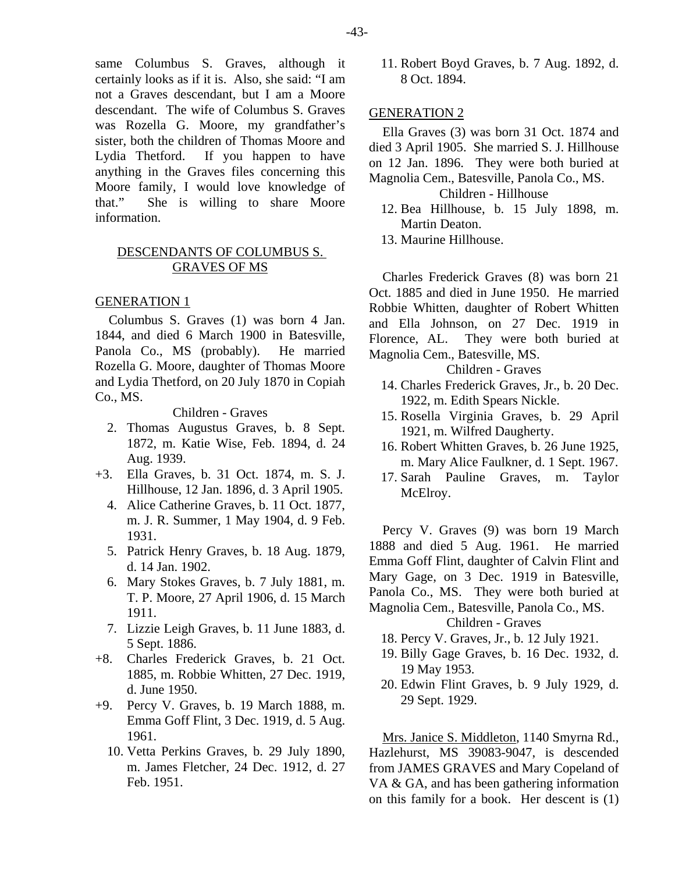same Columbus S. Graves, although it certainly looks as if it is. Also, she said: "I am not a Graves descendant, but I am a Moore descendant. The wife of Columbus S. Graves was Rozella G. Moore, my grandfather's sister, both the children of Thomas Moore and Lydia Thetford. If you happen to have anything in the Graves files concerning this Moore family, I would love knowledge of that." She is willing to share Moore information.

### DESCENDANTS OF COLUMBUS S. GRAVES OF MS

#### GENERATION 1

Columbus S. Graves (1) was born 4 Jan. 1844, and died 6 March 1900 in Batesville, Panola Co., MS (probably). He married Rozella G. Moore, daughter of Thomas Moore and Lydia Thetford, on 20 July 1870 in Copiah Co., MS.

Children - Graves

- 2. Thomas Augustus Graves, b. 8 Sept. 1872, m. Katie Wise, Feb. 1894, d. 24 Aug. 1939.
- +3. Ella Graves, b. 31 Oct. 1874, m. S. J. Hillhouse, 12 Jan. 1896, d. 3 April 1905.
	- 4. Alice Catherine Graves, b. 11 Oct. 1877, m. J. R. Summer, 1 May 1904, d. 9 Feb. 1931.
	- 5. Patrick Henry Graves, b. 18 Aug. 1879, d. 14 Jan. 1902.
	- 6. Mary Stokes Graves, b. 7 July 1881, m. T. P. Moore, 27 April 1906, d. 15 March 1911.
	- 7. Lizzie Leigh Graves, b. 11 June 1883, d. 5 Sept. 1886.
- +8. Charles Frederick Graves, b. 21 Oct. 1885, m. Robbie Whitten, 27 Dec. 1919, d. June 1950.
- +9. Percy V. Graves, b. 19 March 1888, m. Emma Goff Flint, 3 Dec. 1919, d. 5 Aug. 1961.
	- 10. Vetta Perkins Graves, b. 29 July 1890, m. James Fletcher, 24 Dec. 1912, d. 27 Feb. 1951.

 11. Robert Boyd Graves, b. 7 Aug. 1892, d. 8 Oct. 1894.

#### GENERATION 2

Ella Graves (3) was born 31 Oct. 1874 and died 3 April 1905. She married S. J. Hillhouse on 12 Jan. 1896. They were both buried at Magnolia Cem., Batesville, Panola Co., MS.

# Children - Hillhouse

- 12. Bea Hillhouse, b. 15 July 1898, m. Martin Deaton.
- 13. Maurine Hillhouse.

Charles Frederick Graves (8) was born 21 Oct. 1885 and died in June 1950. He married Robbie Whitten, daughter of Robert Whitten and Ella Johnson, on 27 Dec. 1919 in Florence, AL. They were both buried at Magnolia Cem., Batesville, MS.

#### Children - Graves

- 14. Charles Frederick Graves, Jr., b. 20 Dec. 1922, m. Edith Spears Nickle.
- 15. Rosella Virginia Graves, b. 29 April 1921, m. Wilfred Daugherty.
- 16. Robert Whitten Graves, b. 26 June 1925, m. Mary Alice Faulkner, d. 1 Sept. 1967.
- 17. Sarah Pauline Graves, m. Taylor McElroy.

Percy V. Graves (9) was born 19 March 1888 and died 5 Aug. 1961. He married Emma Goff Flint, daughter of Calvin Flint and Mary Gage, on 3 Dec. 1919 in Batesville, Panola Co., MS. They were both buried at Magnolia Cem., Batesville, Panola Co., MS.

#### Children - Graves

- 18. Percy V. Graves, Jr., b. 12 July 1921.
- 19. Billy Gage Graves, b. 16 Dec. 1932, d. 19 May 1953.
- 20. Edwin Flint Graves, b. 9 July 1929, d. 29 Sept. 1929.

Mrs. Janice S. Middleton, 1140 Smyrna Rd., Hazlehurst, MS 39083-9047, is descended from JAMES GRAVES and Mary Copeland of VA & GA, and has been gathering information on this family for a book. Her descent is (1)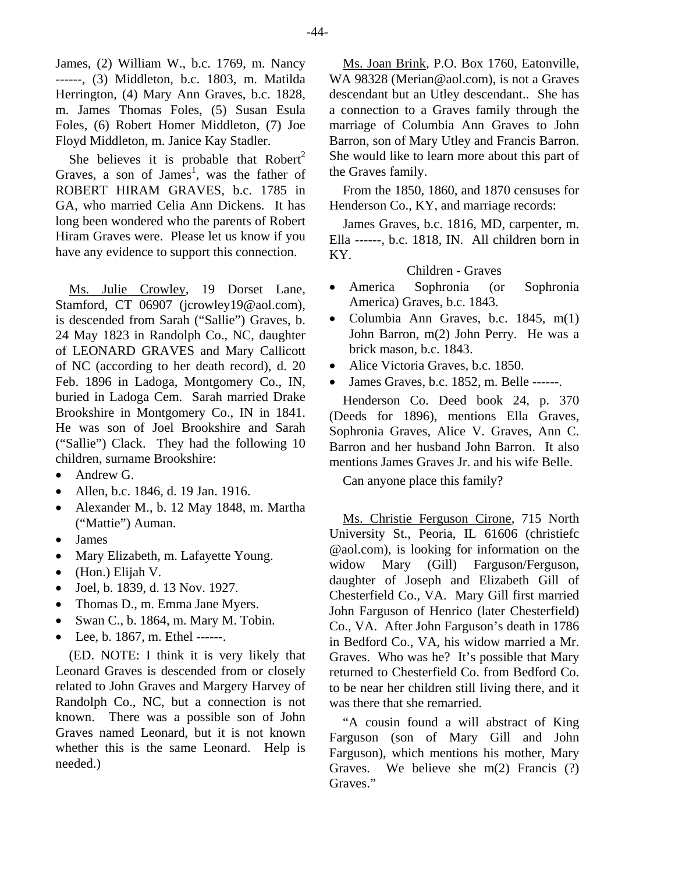James, (2) William W., b.c. 1769, m. Nancy ------, (3) Middleton, b.c. 1803, m. Matilda Herrington, (4) Mary Ann Graves, b.c. 1828, m. James Thomas Foles, (5) Susan Esula Foles, (6) Robert Homer Middleton, (7) Joe Floyd Middleton, m. Janice Kay Stadler.

She believes it is probable that  $Robert<sup>2</sup>$ Graves, a son of James<sup>1</sup>, was the father of ROBERT HIRAM GRAVES, b.c. 1785 in GA, who married Celia Ann Dickens. It has long been wondered who the parents of Robert Hiram Graves were. Please let us know if you have any evidence to support this connection.

Ms. Julie Crowley, 19 Dorset Lane, Stamford, CT 06907 (jcrowley19@aol.com), is descended from Sarah ("Sallie") Graves, b. 24 May 1823 in Randolph Co., NC, daughter of LEONARD GRAVES and Mary Callicott of NC (according to her death record), d. 20 Feb. 1896 in Ladoga, Montgomery Co., IN, buried in Ladoga Cem. Sarah married Drake Brookshire in Montgomery Co., IN in 1841. He was son of Joel Brookshire and Sarah ("Sallie") Clack. They had the following 10 children, surname Brookshire:

- Andrew G.
- Allen, b.c. 1846, d. 19 Jan. 1916.
- Alexander M., b. 12 May 1848, m. Martha ("Mattie") Auman.
- James
- Mary Elizabeth, m. Lafayette Young.
- (Hon.) Elijah V.
- Joel, b. 1839, d. 13 Nov. 1927.
- Thomas D., m. Emma Jane Myers.
- Swan C., b. 1864, m. Mary M. Tobin.
- Lee, b. 1867, m. Ethel ------.

(ED. NOTE: I think it is very likely that Leonard Graves is descended from or closely related to John Graves and Margery Harvey of Randolph Co., NC, but a connection is not known. There was a possible son of John Graves named Leonard, but it is not known whether this is the same Leonard. Help is needed.)

Ms. Joan Brink, P.O. Box 1760, Eatonville, WA 98328 (Merian@aol.com), is not a Graves descendant but an Utley descendant.. She has a connection to a Graves family through the marriage of Columbia Ann Graves to John Barron, son of Mary Utley and Francis Barron. She would like to learn more about this part of the Graves family.

From the 1850, 1860, and 1870 censuses for Henderson Co., KY, and marriage records:

James Graves, b.c. 1816, MD, carpenter, m. Ella ------, b.c. 1818, IN. All children born in KY.

#### Children - Graves

- America Sophronia (or Sophronia America) Graves, b.c. 1843.
- Columbia Ann Graves, b.c. 1845, m(1) John Barron, m(2) John Perry. He was a brick mason, b.c. 1843.
- Alice Victoria Graves, b.c. 1850.
- James Graves, b.c. 1852, m. Belle ------.

Henderson Co. Deed book 24, p. 370 (Deeds for 1896), mentions Ella Graves, Sophronia Graves, Alice V. Graves, Ann C. Barron and her husband John Barron. It also mentions James Graves Jr. and his wife Belle.

Can anyone place this family?

Ms. Christie Ferguson Cirone, 715 North University St., Peoria, IL 61606 (christiefc @aol.com), is looking for information on the widow Mary (Gill) Farguson/Ferguson, daughter of Joseph and Elizabeth Gill of Chesterfield Co., VA. Mary Gill first married John Farguson of Henrico (later Chesterfield) Co., VA. After John Farguson's death in 1786 in Bedford Co., VA, his widow married a Mr. Graves. Who was he? It's possible that Mary returned to Chesterfield Co. from Bedford Co. to be near her children still living there, and it was there that she remarried.

"A cousin found a will abstract of King Farguson (son of Mary Gill and John Farguson), which mentions his mother, Mary Graves. We believe she m(2) Francis (?) Graves."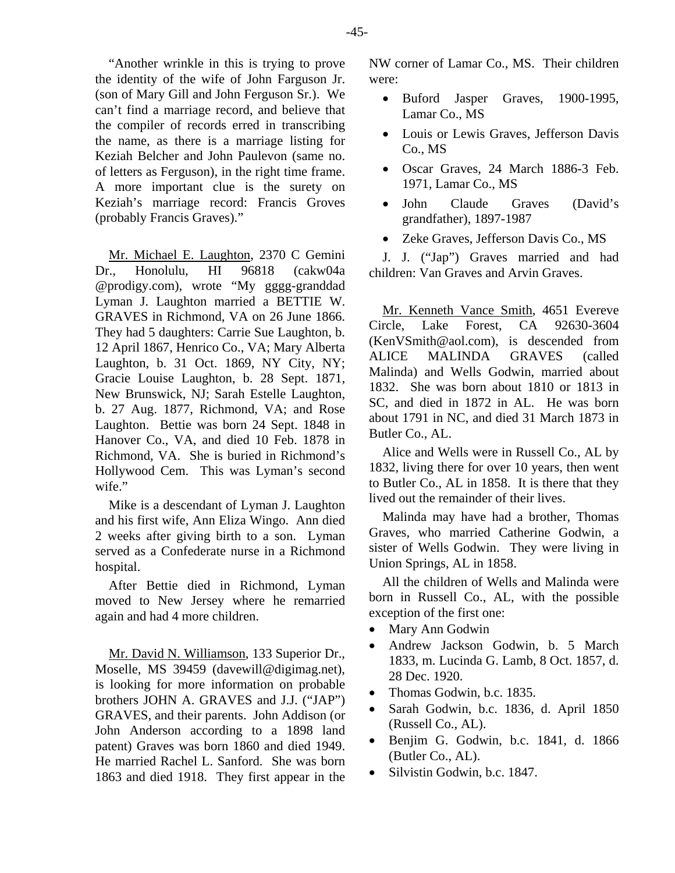"Another wrinkle in this is trying to prove the identity of the wife of John Farguson Jr. (son of Mary Gill and John Ferguson Sr.). We can't find a marriage record, and believe that the compiler of records erred in transcribing the name, as there is a marriage listing for Keziah Belcher and John Paulevon (same no. of letters as Ferguson), in the right time frame. A more important clue is the surety on Keziah's marriage record: Francis Groves (probably Francis Graves)."

Mr. Michael E. Laughton, 2370 C Gemini Dr., Honolulu, HI 96818 (cakw04a @prodigy.com), wrote "My gggg-granddad Lyman J. Laughton married a BETTIE W. GRAVES in Richmond, VA on 26 June 1866. They had 5 daughters: Carrie Sue Laughton, b. 12 April 1867, Henrico Co., VA; Mary Alberta Laughton, b. 31 Oct. 1869, NY City, NY; Gracie Louise Laughton, b. 28 Sept. 1871, New Brunswick, NJ; Sarah Estelle Laughton, b. 27 Aug. 1877, Richmond, VA; and Rose Laughton. Bettie was born 24 Sept. 1848 in Hanover Co., VA, and died 10 Feb. 1878 in Richmond, VA. She is buried in Richmond's Hollywood Cem. This was Lyman's second wife."

Mike is a descendant of Lyman J. Laughton and his first wife, Ann Eliza Wingo. Ann died 2 weeks after giving birth to a son. Lyman served as a Confederate nurse in a Richmond hospital.

After Bettie died in Richmond, Lyman moved to New Jersey where he remarried again and had 4 more children.

Mr. David N. Williamson, 133 Superior Dr., Moselle, MS 39459 (davewill@digimag.net), is looking for more information on probable brothers JOHN A. GRAVES and J.J. ("JAP") GRAVES, and their parents. John Addison (or John Anderson according to a 1898 land patent) Graves was born 1860 and died 1949. He married Rachel L. Sanford. She was born 1863 and died 1918. They first appear in the NW corner of Lamar Co., MS. Their children were:

- Buford Jasper Graves, 1900-1995, Lamar Co., MS
- Louis or Lewis Graves, Jefferson Davis Co., MS
- Oscar Graves, 24 March 1886-3 Feb. 1971, Lamar Co., MS
- John Claude Graves (David's grandfather), 1897-1987
- Zeke Graves, Jefferson Davis Co., MS

J. J. ("Jap") Graves married and had children: Van Graves and Arvin Graves.

Mr. Kenneth Vance Smith, 4651 Evereve Circle, Lake Forest, CA 92630-3604 (KenVSmith@aol.com), is descended from ALICE MALINDA GRAVES (called Malinda) and Wells Godwin, married about 1832. She was born about 1810 or 1813 in SC, and died in 1872 in AL. He was born about 1791 in NC, and died 31 March 1873 in Butler Co., AL.

Alice and Wells were in Russell Co., AL by 1832, living there for over 10 years, then went to Butler Co., AL in 1858. It is there that they lived out the remainder of their lives.

Malinda may have had a brother, Thomas Graves, who married Catherine Godwin, a sister of Wells Godwin. They were living in Union Springs, AL in 1858.

All the children of Wells and Malinda were born in Russell Co., AL, with the possible exception of the first one:

- Mary Ann Godwin
- Andrew Jackson Godwin, b. 5 March 1833, m. Lucinda G. Lamb, 8 Oct. 1857, d. 28 Dec. 1920.
- Thomas Godwin, b.c. 1835.
- Sarah Godwin, b.c. 1836, d. April 1850 (Russell Co., AL).
- Benjim G. Godwin, b.c. 1841, d. 1866 (Butler Co., AL).
- Silvistin Godwin, b.c. 1847.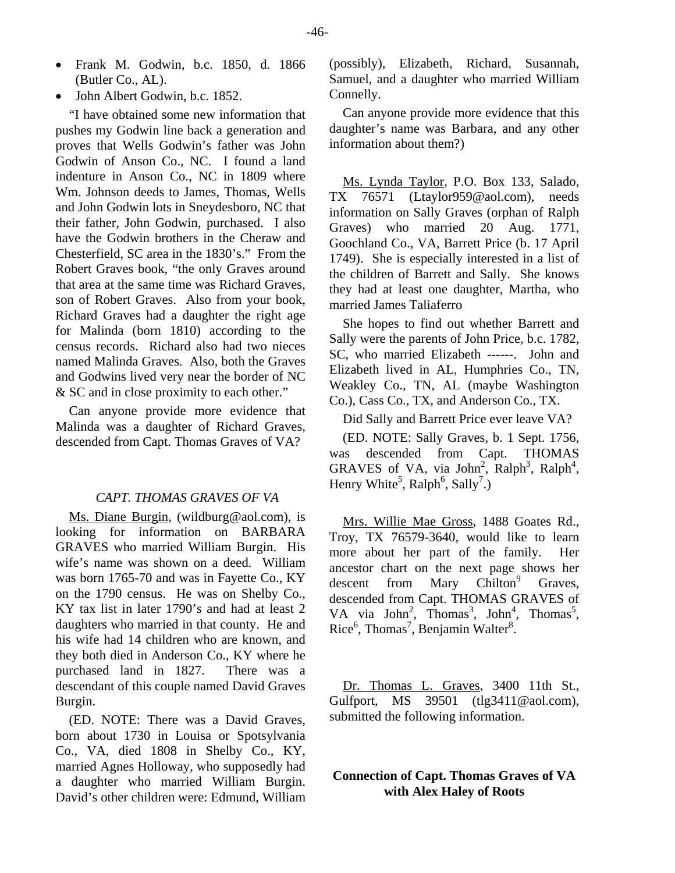- Frank M. Godwin, b.c. 1850, d. 1866 (Butler Co., AL).
- John Albert Godwin, b.c. 1852.

"I have obtained some new information that pushes my Godwin line back a generation and proves that Wells Godwin's father was John Godwin of Anson Co., NC. I found a land indenture in Anson Co., NC in 1809 where Wm. Johnson deeds to James, Thomas, Wells and John Godwin lots in Sneydesboro, NC that their father, John Godwin, purchased. I also have the Godwin brothers in the Cheraw and Chesterfield, SC area in the 1830's." From the Robert Graves book, "the only Graves around that area at the same time was Richard Graves, son of Robert Graves. Also from your book, Richard Graves had a daughter the right age for Malinda (born 1810) according to the census records. Richard also had two nieces named Malinda Graves. Also, both the Graves and Godwins lived very near the border of NC & SC and in close proximity to each other."

Can anyone provide more evidence that Malinda was a daughter of Richard Graves, descended from Capt. Thomas Graves of VA?

#### *CAPT. THOMAS GRAVES OF VA*

Ms. Diane Burgin, (wildburg@aol.com), is looking for information on BARBARA GRAVES who married William Burgin. His wife's name was shown on a deed. William was born 1765-70 and was in Fayette Co., KY on the 1790 census. He was on Shelby Co., KY tax list in later 1790's and had at least 2 daughters who married in that county. He and his wife had 14 children who are known, and they both died in Anderson Co., KY where he purchased land in 1827. There was a descendant of this couple named David Graves Burgin.

(ED. NOTE: There was a David Graves, born about 1730 in Louisa or Spotsylvania Co., VA, died 1808 in Shelby Co., KY, married Agnes Holloway, who supposedly had a daughter who married William Burgin. David's other children were: Edmund, William (possibly), Elizabeth, Richard, Susannah, Samuel, and a daughter who married William Connelly.

Can anyone provide more evidence that this daughter's name was Barbara, and any other information about them?)

Ms. Lynda Taylor, P.O. Box 133, Salado, TX 76571 (Ltaylor959@aol.com), needs information on Sally Graves (orphan of Ralph Graves) who married 20 Aug. 1771, Goochland Co., VA, Barrett Price (b. 17 April 1749). She is especially interested in a list of the children of Barrett and Sally. She knows they had at least one daughter, Martha, who married James Taliaferro

She hopes to find out whether Barrett and Sally were the parents of John Price, b.c. 1782, SC, who married Elizabeth ------. John and Elizabeth lived in AL, Humphries Co., TN, Weakley Co., TN, AL (maybe Washington Co.), Cass Co., TX, and Anderson Co., TX.

Did Sally and Barrett Price ever leave VA?

(ED. NOTE: Sally Graves, b. 1 Sept. 1756, was descended from Capt. THOMAS GRAVES of VA, via John<sup>2</sup>, Ralph<sup>3</sup>, Ralph<sup>4</sup>, Henry White<sup>5</sup>, Ralph<sup>6</sup>, Sally<sup>7</sup>.)

Mrs. Willie Mae Gross, 1488 Goates Rd., Troy, TX 76579-3640, would like to learn more about her part of the family. Her ancestor chart on the next page shows her descent from Mary Chilton<sup>9</sup> Graves, descended from Capt. THOMAS GRAVES of VA via John<sup>2</sup>, Thomas<sup>3</sup>, John<sup>4</sup>, Thomas<sup>5</sup>, Rice<sup>6</sup>, Thomas<sup>7</sup>, Benjamin Walter<sup>8</sup>.

Dr. Thomas L. Graves, 3400 11th St., Gulfport, MS 39501 (tlg3411@aol.com), submitted the following information.

# **Connection of Capt. Thomas Graves of VA with Alex Haley of Roots**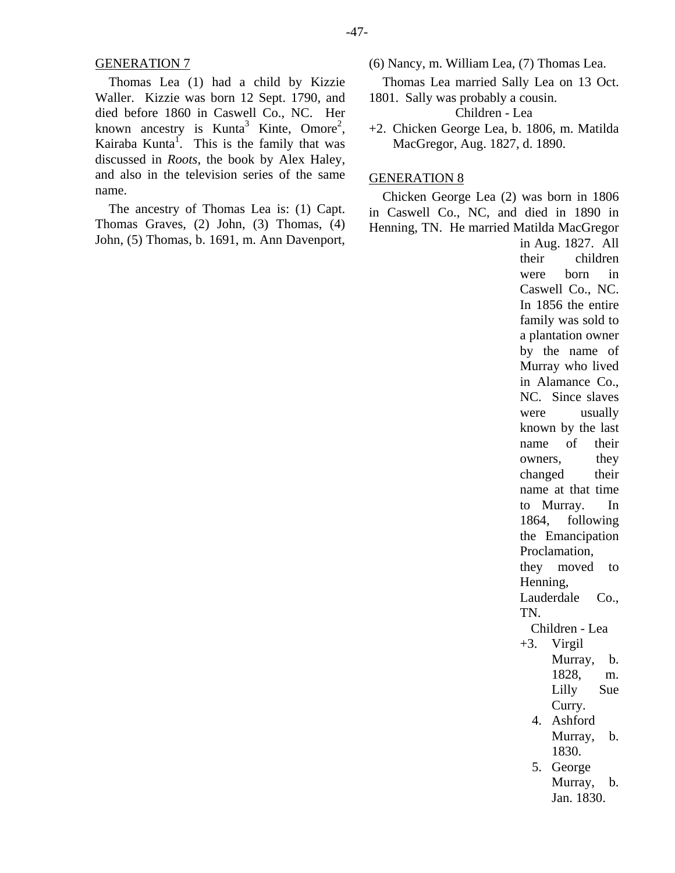#### GENERATION 7

Thomas Lea (1) had a child by Kizzie Waller. Kizzie was born 12 Sept. 1790, and died before 1860 in Caswell Co., NC. Her known ancestry is Kunta<sup>3</sup> Kinte, Omore<sup>2</sup>, Kairaba Kunta<sup>1</sup>. This is the family that was discussed in *Roots*, the book by Alex Haley, and also in the television series of the same name.

The ancestry of Thomas Lea is: (1) Capt. Thomas Graves, (2) John, (3) Thomas, (4) John, (5) Thomas, b. 1691, m. Ann Davenport,

- (6) Nancy, m. William Lea, (7) Thomas Lea.
- Thomas Lea married Sally Lea on 13 Oct.
- 1801. Sally was probably a cousin.

Children - Lea

+2. Chicken George Lea, b. 1806, m. Matilda MacGregor, Aug. 1827, d. 1890.

### GENERATION 8

Chicken George Lea (2) was born in 1806 in Caswell Co., NC, and died in 1890 in Henning, TN. He married Matilda MacGregor

in Aug. 1827. All their children were born in Caswell Co., NC. In 1856 the entire family was sold to a plantation owner by the name of Murray who lived in Alamance Co., NC. Since slaves were usually known by the last name of their owners, they changed their name at that time to Murray. In 1864, following the Emancipation Proclamation, they moved to Henning, Lauderdale Co., TN. Children - Lea  $+3$ . Virgil Murray, b. 1828, m. Lilly Sue Curry. 4. Ashford Murray, b. 1830. 5. George Murray, b. Jan. 1830.